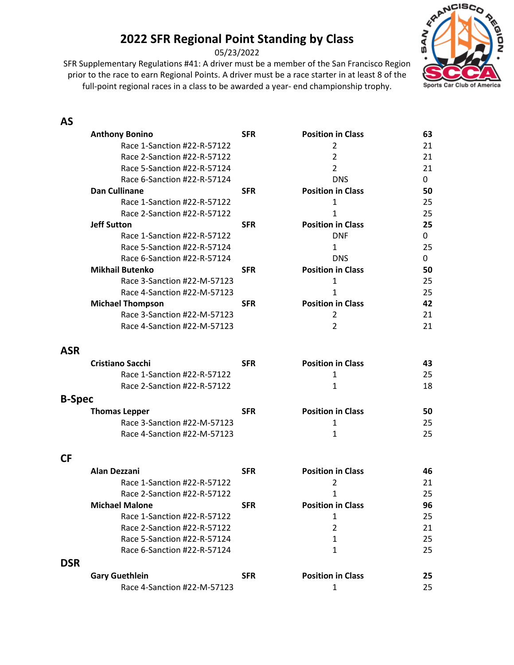05/23/2022

prior to the race to earn Regional Points. A driver must be a race starter in at least 8 of the full-point regional races in a class to be awarded a year- end championship trophy.



#### **AS**

| Race 1-Sanction #22-R-57122<br>21<br>2<br>$\overline{2}$<br>Race 2-Sanction #22-R-57122<br>21<br>Race 5-Sanction #22-R-57124<br>$\overline{2}$<br>21<br>Race 6-Sanction #22-R-57124<br><b>DNS</b><br>0<br><b>Position in Class</b><br><b>Dan Cullinane</b><br>50<br><b>SFR</b><br>Race 1-Sanction #22-R-57122<br>25<br>1<br>Race 2-Sanction #22-R-57122<br>25<br>1<br><b>Position in Class</b><br>25<br><b>Jeff Sutton</b><br><b>SFR</b><br>Race 1-Sanction #22-R-57122<br><b>DNF</b><br>0<br>Race 5-Sanction #22-R-57124<br>25<br>1<br><b>DNS</b><br>Race 6-Sanction #22-R-57124<br>0<br><b>Position in Class</b><br><b>Mikhail Butenko</b><br><b>SFR</b><br>50<br>Race 3-Sanction #22-M-57123<br>1<br>25<br>Race 4-Sanction #22-M-57123<br>25<br>1<br><b>Position in Class</b><br><b>Michael Thompson</b><br>42<br><b>SFR</b><br>Race 3-Sanction #22-M-57123<br>21<br>2<br>Race 4-Sanction #22-M-57123<br>$\overline{2}$<br>21<br><b>ASR</b><br><b>Cristiano Sacchi</b><br><b>Position in Class</b><br><b>SFR</b><br>43<br>Race 1-Sanction #22-R-57122<br>25<br>1<br>Race 2-Sanction #22-R-57122<br>1<br>18<br><b>B-Spec</b><br><b>Position in Class</b><br><b>Thomas Lepper</b><br><b>SFR</b><br>50<br>Race 3-Sanction #22-M-57123<br>25<br>1<br>Race 4-Sanction #22-M-57123<br>25<br>1<br><b>CF</b><br><b>Position in Class</b><br>Alan Dezzani<br><b>SFR</b><br>46<br>Race 1-Sanction #22-R-57122<br>2<br>21<br>Race 2-Sanction #22-R-57122<br>25<br>1<br><b>Position in Class</b><br>96<br>Michael Malone<br>SFR<br>Race 1-Sanction #22-R-57122<br>1<br>25<br>Race 2-Sanction #22-R-57122<br>$\overline{2}$<br>21<br>Race 5-Sanction #22-R-57124<br>25<br>1<br>Race 6-Sanction #22-R-57124<br>25<br>1<br><b>DSR</b><br><b>Position in Class</b><br><b>Gary Guethlein</b><br><b>SFR</b><br>25<br>Race 4-Sanction #22-M-57123<br>1<br>25 | <b>Anthony Bonino</b> | <b>SFR</b> | <b>Position in Class</b> | 63 |
|----------------------------------------------------------------------------------------------------------------------------------------------------------------------------------------------------------------------------------------------------------------------------------------------------------------------------------------------------------------------------------------------------------------------------------------------------------------------------------------------------------------------------------------------------------------------------------------------------------------------------------------------------------------------------------------------------------------------------------------------------------------------------------------------------------------------------------------------------------------------------------------------------------------------------------------------------------------------------------------------------------------------------------------------------------------------------------------------------------------------------------------------------------------------------------------------------------------------------------------------------------------------------------------------------------------------------------------------------------------------------------------------------------------------------------------------------------------------------------------------------------------------------------------------------------------------------------------------------------------------------------------------------------------------------------------------------------------------------------------------------------------------------------------------------------------------------------------------|-----------------------|------------|--------------------------|----|
|                                                                                                                                                                                                                                                                                                                                                                                                                                                                                                                                                                                                                                                                                                                                                                                                                                                                                                                                                                                                                                                                                                                                                                                                                                                                                                                                                                                                                                                                                                                                                                                                                                                                                                                                                                                                                                              |                       |            |                          |    |
|                                                                                                                                                                                                                                                                                                                                                                                                                                                                                                                                                                                                                                                                                                                                                                                                                                                                                                                                                                                                                                                                                                                                                                                                                                                                                                                                                                                                                                                                                                                                                                                                                                                                                                                                                                                                                                              |                       |            |                          |    |
|                                                                                                                                                                                                                                                                                                                                                                                                                                                                                                                                                                                                                                                                                                                                                                                                                                                                                                                                                                                                                                                                                                                                                                                                                                                                                                                                                                                                                                                                                                                                                                                                                                                                                                                                                                                                                                              |                       |            |                          |    |
|                                                                                                                                                                                                                                                                                                                                                                                                                                                                                                                                                                                                                                                                                                                                                                                                                                                                                                                                                                                                                                                                                                                                                                                                                                                                                                                                                                                                                                                                                                                                                                                                                                                                                                                                                                                                                                              |                       |            |                          |    |
|                                                                                                                                                                                                                                                                                                                                                                                                                                                                                                                                                                                                                                                                                                                                                                                                                                                                                                                                                                                                                                                                                                                                                                                                                                                                                                                                                                                                                                                                                                                                                                                                                                                                                                                                                                                                                                              |                       |            |                          |    |
|                                                                                                                                                                                                                                                                                                                                                                                                                                                                                                                                                                                                                                                                                                                                                                                                                                                                                                                                                                                                                                                                                                                                                                                                                                                                                                                                                                                                                                                                                                                                                                                                                                                                                                                                                                                                                                              |                       |            |                          |    |
|                                                                                                                                                                                                                                                                                                                                                                                                                                                                                                                                                                                                                                                                                                                                                                                                                                                                                                                                                                                                                                                                                                                                                                                                                                                                                                                                                                                                                                                                                                                                                                                                                                                                                                                                                                                                                                              |                       |            |                          |    |
|                                                                                                                                                                                                                                                                                                                                                                                                                                                                                                                                                                                                                                                                                                                                                                                                                                                                                                                                                                                                                                                                                                                                                                                                                                                                                                                                                                                                                                                                                                                                                                                                                                                                                                                                                                                                                                              |                       |            |                          |    |
|                                                                                                                                                                                                                                                                                                                                                                                                                                                                                                                                                                                                                                                                                                                                                                                                                                                                                                                                                                                                                                                                                                                                                                                                                                                                                                                                                                                                                                                                                                                                                                                                                                                                                                                                                                                                                                              |                       |            |                          |    |
|                                                                                                                                                                                                                                                                                                                                                                                                                                                                                                                                                                                                                                                                                                                                                                                                                                                                                                                                                                                                                                                                                                                                                                                                                                                                                                                                                                                                                                                                                                                                                                                                                                                                                                                                                                                                                                              |                       |            |                          |    |
|                                                                                                                                                                                                                                                                                                                                                                                                                                                                                                                                                                                                                                                                                                                                                                                                                                                                                                                                                                                                                                                                                                                                                                                                                                                                                                                                                                                                                                                                                                                                                                                                                                                                                                                                                                                                                                              |                       |            |                          |    |
|                                                                                                                                                                                                                                                                                                                                                                                                                                                                                                                                                                                                                                                                                                                                                                                                                                                                                                                                                                                                                                                                                                                                                                                                                                                                                                                                                                                                                                                                                                                                                                                                                                                                                                                                                                                                                                              |                       |            |                          |    |
|                                                                                                                                                                                                                                                                                                                                                                                                                                                                                                                                                                                                                                                                                                                                                                                                                                                                                                                                                                                                                                                                                                                                                                                                                                                                                                                                                                                                                                                                                                                                                                                                                                                                                                                                                                                                                                              |                       |            |                          |    |
|                                                                                                                                                                                                                                                                                                                                                                                                                                                                                                                                                                                                                                                                                                                                                                                                                                                                                                                                                                                                                                                                                                                                                                                                                                                                                                                                                                                                                                                                                                                                                                                                                                                                                                                                                                                                                                              |                       |            |                          |    |
|                                                                                                                                                                                                                                                                                                                                                                                                                                                                                                                                                                                                                                                                                                                                                                                                                                                                                                                                                                                                                                                                                                                                                                                                                                                                                                                                                                                                                                                                                                                                                                                                                                                                                                                                                                                                                                              |                       |            |                          |    |
|                                                                                                                                                                                                                                                                                                                                                                                                                                                                                                                                                                                                                                                                                                                                                                                                                                                                                                                                                                                                                                                                                                                                                                                                                                                                                                                                                                                                                                                                                                                                                                                                                                                                                                                                                                                                                                              |                       |            |                          |    |
|                                                                                                                                                                                                                                                                                                                                                                                                                                                                                                                                                                                                                                                                                                                                                                                                                                                                                                                                                                                                                                                                                                                                                                                                                                                                                                                                                                                                                                                                                                                                                                                                                                                                                                                                                                                                                                              |                       |            |                          |    |
|                                                                                                                                                                                                                                                                                                                                                                                                                                                                                                                                                                                                                                                                                                                                                                                                                                                                                                                                                                                                                                                                                                                                                                                                                                                                                                                                                                                                                                                                                                                                                                                                                                                                                                                                                                                                                                              |                       |            |                          |    |
|                                                                                                                                                                                                                                                                                                                                                                                                                                                                                                                                                                                                                                                                                                                                                                                                                                                                                                                                                                                                                                                                                                                                                                                                                                                                                                                                                                                                                                                                                                                                                                                                                                                                                                                                                                                                                                              |                       |            |                          |    |
|                                                                                                                                                                                                                                                                                                                                                                                                                                                                                                                                                                                                                                                                                                                                                                                                                                                                                                                                                                                                                                                                                                                                                                                                                                                                                                                                                                                                                                                                                                                                                                                                                                                                                                                                                                                                                                              |                       |            |                          |    |
|                                                                                                                                                                                                                                                                                                                                                                                                                                                                                                                                                                                                                                                                                                                                                                                                                                                                                                                                                                                                                                                                                                                                                                                                                                                                                                                                                                                                                                                                                                                                                                                                                                                                                                                                                                                                                                              |                       |            |                          |    |
|                                                                                                                                                                                                                                                                                                                                                                                                                                                                                                                                                                                                                                                                                                                                                                                                                                                                                                                                                                                                                                                                                                                                                                                                                                                                                                                                                                                                                                                                                                                                                                                                                                                                                                                                                                                                                                              |                       |            |                          |    |
|                                                                                                                                                                                                                                                                                                                                                                                                                                                                                                                                                                                                                                                                                                                                                                                                                                                                                                                                                                                                                                                                                                                                                                                                                                                                                                                                                                                                                                                                                                                                                                                                                                                                                                                                                                                                                                              |                       |            |                          |    |
|                                                                                                                                                                                                                                                                                                                                                                                                                                                                                                                                                                                                                                                                                                                                                                                                                                                                                                                                                                                                                                                                                                                                                                                                                                                                                                                                                                                                                                                                                                                                                                                                                                                                                                                                                                                                                                              |                       |            |                          |    |
|                                                                                                                                                                                                                                                                                                                                                                                                                                                                                                                                                                                                                                                                                                                                                                                                                                                                                                                                                                                                                                                                                                                                                                                                                                                                                                                                                                                                                                                                                                                                                                                                                                                                                                                                                                                                                                              |                       |            |                          |    |
|                                                                                                                                                                                                                                                                                                                                                                                                                                                                                                                                                                                                                                                                                                                                                                                                                                                                                                                                                                                                                                                                                                                                                                                                                                                                                                                                                                                                                                                                                                                                                                                                                                                                                                                                                                                                                                              |                       |            |                          |    |
|                                                                                                                                                                                                                                                                                                                                                                                                                                                                                                                                                                                                                                                                                                                                                                                                                                                                                                                                                                                                                                                                                                                                                                                                                                                                                                                                                                                                                                                                                                                                                                                                                                                                                                                                                                                                                                              |                       |            |                          |    |
|                                                                                                                                                                                                                                                                                                                                                                                                                                                                                                                                                                                                                                                                                                                                                                                                                                                                                                                                                                                                                                                                                                                                                                                                                                                                                                                                                                                                                                                                                                                                                                                                                                                                                                                                                                                                                                              |                       |            |                          |    |
|                                                                                                                                                                                                                                                                                                                                                                                                                                                                                                                                                                                                                                                                                                                                                                                                                                                                                                                                                                                                                                                                                                                                                                                                                                                                                                                                                                                                                                                                                                                                                                                                                                                                                                                                                                                                                                              |                       |            |                          |    |
|                                                                                                                                                                                                                                                                                                                                                                                                                                                                                                                                                                                                                                                                                                                                                                                                                                                                                                                                                                                                                                                                                                                                                                                                                                                                                                                                                                                                                                                                                                                                                                                                                                                                                                                                                                                                                                              |                       |            |                          |    |
|                                                                                                                                                                                                                                                                                                                                                                                                                                                                                                                                                                                                                                                                                                                                                                                                                                                                                                                                                                                                                                                                                                                                                                                                                                                                                                                                                                                                                                                                                                                                                                                                                                                                                                                                                                                                                                              |                       |            |                          |    |
|                                                                                                                                                                                                                                                                                                                                                                                                                                                                                                                                                                                                                                                                                                                                                                                                                                                                                                                                                                                                                                                                                                                                                                                                                                                                                                                                                                                                                                                                                                                                                                                                                                                                                                                                                                                                                                              |                       |            |                          |    |
|                                                                                                                                                                                                                                                                                                                                                                                                                                                                                                                                                                                                                                                                                                                                                                                                                                                                                                                                                                                                                                                                                                                                                                                                                                                                                                                                                                                                                                                                                                                                                                                                                                                                                                                                                                                                                                              |                       |            |                          |    |
|                                                                                                                                                                                                                                                                                                                                                                                                                                                                                                                                                                                                                                                                                                                                                                                                                                                                                                                                                                                                                                                                                                                                                                                                                                                                                                                                                                                                                                                                                                                                                                                                                                                                                                                                                                                                                                              |                       |            |                          |    |
|                                                                                                                                                                                                                                                                                                                                                                                                                                                                                                                                                                                                                                                                                                                                                                                                                                                                                                                                                                                                                                                                                                                                                                                                                                                                                                                                                                                                                                                                                                                                                                                                                                                                                                                                                                                                                                              |                       |            |                          |    |
|                                                                                                                                                                                                                                                                                                                                                                                                                                                                                                                                                                                                                                                                                                                                                                                                                                                                                                                                                                                                                                                                                                                                                                                                                                                                                                                                                                                                                                                                                                                                                                                                                                                                                                                                                                                                                                              |                       |            |                          |    |
|                                                                                                                                                                                                                                                                                                                                                                                                                                                                                                                                                                                                                                                                                                                                                                                                                                                                                                                                                                                                                                                                                                                                                                                                                                                                                                                                                                                                                                                                                                                                                                                                                                                                                                                                                                                                                                              |                       |            |                          |    |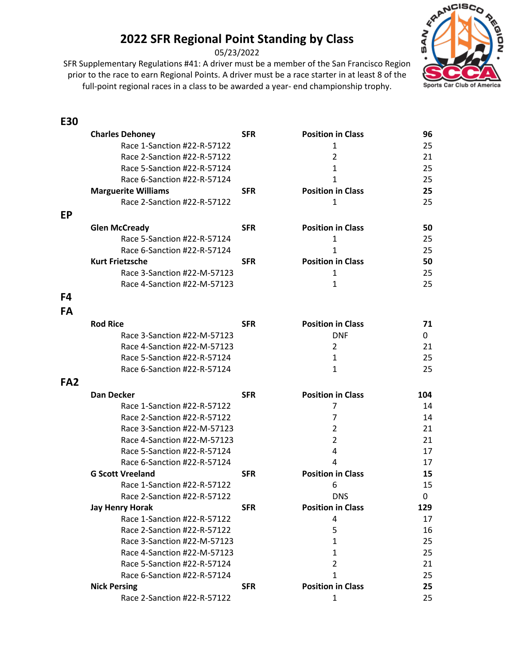05/23/2022

prior to the race to earn Regional Points. A driver must be a race starter in at least 8 of the full-point regional races in a class to be awarded a year- end championship trophy.



#### **E30**

|                 | <b>Charles Dehoney</b>      | <b>SFR</b> | <b>Position in Class</b> | 96  |
|-----------------|-----------------------------|------------|--------------------------|-----|
|                 | Race 1-Sanction #22-R-57122 |            | 1                        | 25  |
|                 | Race 2-Sanction #22-R-57122 |            | 2                        | 21  |
|                 | Race 5-Sanction #22-R-57124 |            | $\mathbf{1}$             | 25  |
|                 | Race 6-Sanction #22-R-57124 |            | $\mathbf{1}$             | 25  |
|                 | <b>Marguerite Williams</b>  | <b>SFR</b> | <b>Position in Class</b> | 25  |
|                 | Race 2-Sanction #22-R-57122 |            | 1                        | 25  |
| <b>EP</b>       |                             |            |                          |     |
|                 | <b>Glen McCready</b>        | <b>SFR</b> | <b>Position in Class</b> | 50  |
|                 | Race 5-Sanction #22-R-57124 |            | 1                        | 25  |
|                 | Race 6-Sanction #22-R-57124 |            | $\mathbf{1}$             | 25  |
|                 | <b>Kurt Frietzsche</b>      | <b>SFR</b> | <b>Position in Class</b> | 50  |
|                 | Race 3-Sanction #22-M-57123 |            | 1                        | 25  |
|                 | Race 4-Sanction #22-M-57123 |            | 1                        | 25  |
| F4              |                             |            |                          |     |
|                 |                             |            |                          |     |
| FA              |                             |            |                          |     |
|                 | <b>Rod Rice</b>             | <b>SFR</b> | <b>Position in Class</b> | 71  |
|                 | Race 3-Sanction #22-M-57123 |            | <b>DNF</b>               | 0   |
|                 | Race 4-Sanction #22-M-57123 |            | $\overline{2}$           | 21  |
|                 | Race 5-Sanction #22-R-57124 |            | $\mathbf{1}$             | 25  |
|                 | Race 6-Sanction #22-R-57124 |            | $\mathbf{1}$             | 25  |
| FA <sub>2</sub> |                             |            |                          |     |
|                 | <b>Dan Decker</b>           | <b>SFR</b> | <b>Position in Class</b> | 104 |
|                 | Race 1-Sanction #22-R-57122 |            | 7                        | 14  |
|                 | Race 2-Sanction #22-R-57122 |            | 7                        | 14  |
|                 | Race 3-Sanction #22-M-57123 |            | 2                        | 21  |
|                 | Race 4-Sanction #22-M-57123 |            | $\overline{2}$           | 21  |
|                 | Race 5-Sanction #22-R-57124 |            | 4                        | 17  |
|                 | Race 6-Sanction #22-R-57124 |            | $\overline{4}$           | 17  |
|                 | <b>G Scott Vreeland</b>     | <b>SFR</b> | <b>Position in Class</b> | 15  |
|                 | Race 1-Sanction #22-R-57122 |            | 6                        | 15  |
|                 | Race 2-Sanction #22-R-57122 |            | <b>DNS</b>               | 0   |
|                 | Jay Henry Horak             | <b>SFR</b> | <b>Position in Class</b> | 129 |
|                 | Race 1-Sanction #22-R-57122 |            | 4                        | 17  |
|                 | Race 2-Sanction #22-R-57122 |            | 5                        | 16  |
|                 | Race 3-Sanction #22-M-57123 |            | $\mathbf{1}$             | 25  |
|                 | Race 4-Sanction #22-M-57123 |            | $\mathbf{1}$             | 25  |
|                 | Race 5-Sanction #22-R-57124 |            | $\overline{2}$           | 21  |
|                 | Race 6-Sanction #22-R-57124 |            | $\mathbf{1}$             | 25  |
|                 | <b>Nick Persing</b>         | <b>SFR</b> | <b>Position in Class</b> | 25  |
|                 | Race 2-Sanction #22-R-57122 |            | 1                        | 25  |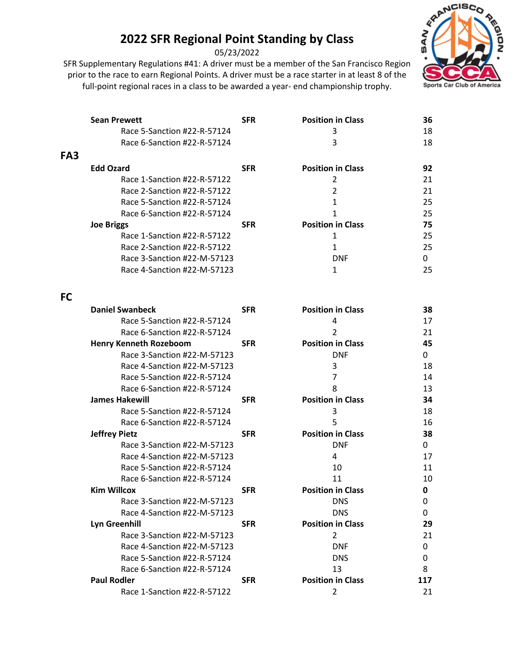05/23/2022

SFR Supplementary Regulations #41: A driver must be a member of the San Francisco Region prior to the race to earn Regional Points. A driver must be a race starter in at least 8 of the full-point regional races in a class to be awarded a year- end championship trophy.



|                 | <b>Sean Prewett</b>         | <b>SFR</b> | <b>Position in Class</b> | 36 |
|-----------------|-----------------------------|------------|--------------------------|----|
|                 | Race 5-Sanction #22-R-57124 |            | 3                        | 18 |
|                 | Race 6-Sanction #22-R-57124 |            | 3                        | 18 |
| FA <sub>3</sub> |                             |            |                          |    |
|                 | <b>Edd Ozard</b>            | <b>SFR</b> | <b>Position in Class</b> | 92 |
|                 | Race 1-Sanction #22-R-57122 |            |                          | 21 |
|                 | Race 2-Sanction #22-R-57122 |            | 2                        | 21 |
|                 | Race 5-Sanction #22-R-57124 |            |                          | 25 |
|                 | Race 6-Sanction #22-R-57124 |            |                          | 25 |
|                 | <b>Joe Briggs</b>           | <b>SFR</b> | <b>Position in Class</b> | 75 |
|                 | Race 1-Sanction #22-R-57122 |            |                          | 25 |
|                 | Race 2-Sanction #22-R-57122 |            |                          | 25 |
|                 | Race 3-Sanction #22-M-57123 |            | <b>DNF</b>               | 0  |
|                 | Race 4-Sanction #22-M-57123 |            |                          | 25 |
|                 |                             |            |                          |    |
| <b>FC</b>       |                             |            |                          |    |

| <b>Daniel Swanbeck</b>        | <b>SFR</b> | <b>Position in Class</b> | 38  |
|-------------------------------|------------|--------------------------|-----|
| Race 5-Sanction #22-R-57124   |            | 4                        | 17  |
| Race 6-Sanction #22-R-57124   |            | $\overline{2}$           | 21  |
| <b>Henry Kenneth Rozeboom</b> | <b>SFR</b> | <b>Position in Class</b> | 45  |
| Race 3-Sanction #22-M-57123   |            | <b>DNF</b>               | 0   |
| Race 4-Sanction #22-M-57123   |            | 3                        | 18  |
| Race 5-Sanction #22-R-57124   |            | 7                        | 14  |
| Race 6-Sanction #22-R-57124   |            | 8                        | 13  |
| <b>James Hakewill</b>         | <b>SFR</b> | <b>Position in Class</b> | 34  |
| Race 5-Sanction #22-R-57124   |            | 3                        | 18  |
| Race 6-Sanction #22-R-57124   |            | 5                        | 16  |
| <b>Jeffrey Pietz</b>          | <b>SFR</b> | <b>Position in Class</b> | 38  |
| Race 3-Sanction #22-M-57123   |            | <b>DNF</b>               | 0   |
| Race 4-Sanction #22-M-57123   |            | 4                        | 17  |
| Race 5-Sanction #22-R-57124   |            | 10                       | 11  |
| Race 6-Sanction #22-R-57124   |            | 11                       | 10  |
| <b>Kim Willcox</b>            | <b>SFR</b> | <b>Position in Class</b> | 0   |
| Race 3-Sanction #22-M-57123   |            | <b>DNS</b>               | 0   |
| Race 4-Sanction #22-M-57123   |            | <b>DNS</b>               | 0   |
| Lyn Greenhill                 | <b>SFR</b> | <b>Position in Class</b> | 29  |
| Race 3-Sanction #22-M-57123   |            | $\mathcal{P}$            | 21  |
| Race 4-Sanction #22-M-57123   |            | <b>DNF</b>               | 0   |
| Race 5-Sanction #22-R-57124   |            | <b>DNS</b>               | 0   |
| Race 6-Sanction #22-R-57124   |            | 13                       | 8   |
| <b>Paul Rodler</b>            | <b>SFR</b> | <b>Position in Class</b> | 117 |
| Race 1-Sanction #22-R-57122   |            | 2                        | 21  |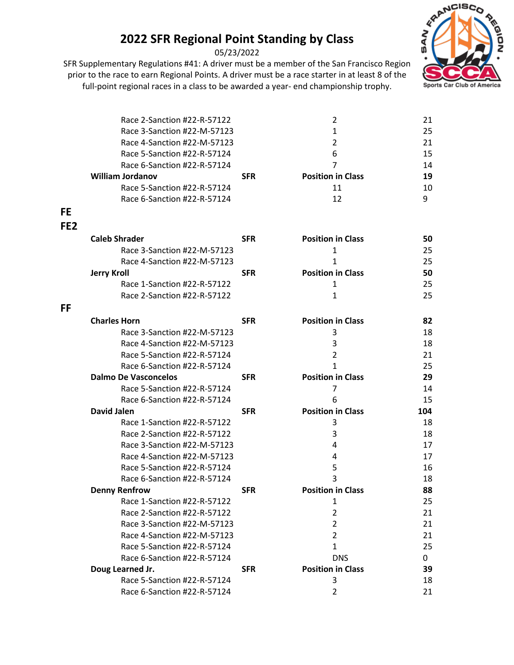05/23/2022



|                 | Race 2-Sanction #22-R-57122 |            | 2                        | 21  |
|-----------------|-----------------------------|------------|--------------------------|-----|
|                 | Race 3-Sanction #22-M-57123 |            | 1                        | 25  |
|                 | Race 4-Sanction #22-M-57123 |            | 2                        | 21  |
|                 | Race 5-Sanction #22-R-57124 |            | 6                        | 15  |
|                 | Race 6-Sanction #22-R-57124 |            | 7                        | 14  |
|                 | <b>William Jordanov</b>     | <b>SFR</b> | <b>Position in Class</b> | 19  |
|                 | Race 5-Sanction #22-R-57124 |            | 11                       | 10  |
|                 | Race 6-Sanction #22-R-57124 |            | 12                       | 9   |
| <b>FE</b>       |                             |            |                          |     |
| FE <sub>2</sub> |                             |            |                          |     |
|                 | <b>Caleb Shrader</b>        | <b>SFR</b> | <b>Position in Class</b> | 50  |
|                 | Race 3-Sanction #22-M-57123 |            | $\mathbf{1}$             | 25  |
|                 | Race 4-Sanction #22-M-57123 |            | 1                        | 25  |
|                 | <b>Jerry Kroll</b>          | <b>SFR</b> | <b>Position in Class</b> | 50  |
|                 | Race 1-Sanction #22-R-57122 |            | 1                        | 25  |
|                 | Race 2-Sanction #22-R-57122 |            | $\mathbf{1}$             | 25  |
| FF              |                             |            |                          |     |
|                 | <b>Charles Horn</b>         | <b>SFR</b> | <b>Position in Class</b> | 82  |
|                 | Race 3-Sanction #22-M-57123 |            | 3                        | 18  |
|                 | Race 4-Sanction #22-M-57123 |            | 3                        | 18  |
|                 | Race 5-Sanction #22-R-57124 |            | $\overline{2}$           | 21  |
|                 | Race 6-Sanction #22-R-57124 |            | 1                        | 25  |
|                 | <b>Dalmo De Vasconcelos</b> | <b>SFR</b> | <b>Position in Class</b> | 29  |
|                 | Race 5-Sanction #22-R-57124 |            | 7                        | 14  |
|                 | Race 6-Sanction #22-R-57124 |            | 6                        | 15  |
|                 | <b>David Jalen</b>          | <b>SFR</b> | <b>Position in Class</b> | 104 |
|                 | Race 1-Sanction #22-R-57122 |            | 3                        | 18  |
|                 | Race 2-Sanction #22-R-57122 |            | 3                        | 18  |
|                 | Race 3-Sanction #22-M-57123 |            | 4                        | 17  |
|                 | Race 4-Sanction #22-M-57123 |            | 4                        | 17  |
|                 | Race 5-Sanction #22-R-57124 |            | 5                        | 16  |
|                 | Race 6-Sanction #22-R-57124 |            | 3                        | 18  |
|                 | <b>Denny Renfrow</b>        | <b>SFR</b> | <b>Position in Class</b> | 88  |
|                 | Race 1-Sanction #22-R-57122 |            | 1                        | 25  |
|                 | Race 2-Sanction #22-R-57122 |            | $\overline{2}$           | 21  |
|                 | Race 3-Sanction #22-M-57123 |            | $\overline{2}$           | 21  |
|                 | Race 4-Sanction #22-M-57123 |            | $\overline{2}$           | 21  |
|                 | Race 5-Sanction #22-R-57124 |            | $\mathbf{1}$             | 25  |
|                 | Race 6-Sanction #22-R-57124 |            | <b>DNS</b>               | 0   |
|                 | Doug Learned Jr.            | <b>SFR</b> | <b>Position in Class</b> | 39  |
|                 | Race 5-Sanction #22-R-57124 |            | 3                        | 18  |
|                 | Race 6-Sanction #22-R-57124 |            | $\overline{2}$           | 21  |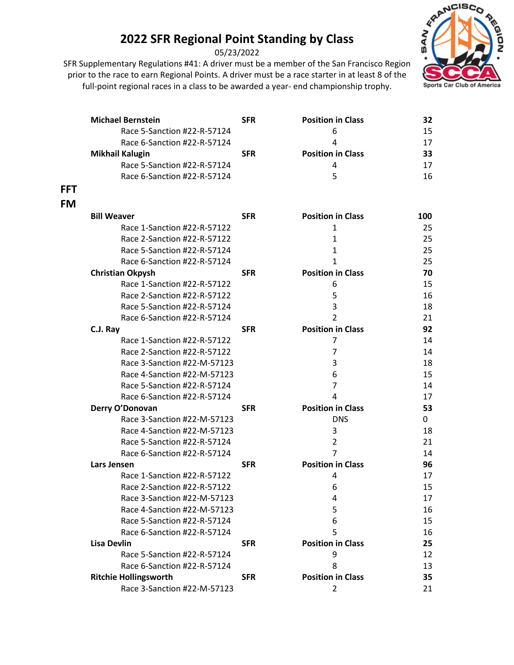05/23/2022



|            | <b>Michael Bernstein</b>     | <b>SFR</b> | <b>Position in Class</b> | 32  |
|------------|------------------------------|------------|--------------------------|-----|
|            | Race 5-Sanction #22-R-57124  |            | 6                        | 15  |
|            | Race 6-Sanction #22-R-57124  |            | 4                        | 17  |
|            | <b>Mikhail Kalugin</b>       | <b>SFR</b> | <b>Position in Class</b> | 33  |
|            | Race 5-Sanction #22-R-57124  |            | 4                        | 17  |
|            | Race 6-Sanction #22-R-57124  |            | 5                        | 16  |
| <b>FFT</b> |                              |            |                          |     |
| <b>FM</b>  |                              |            |                          |     |
|            | <b>Bill Weaver</b>           | <b>SFR</b> | <b>Position in Class</b> | 100 |
|            | Race 1-Sanction #22-R-57122  |            | 1                        | 25  |
|            | Race 2-Sanction #22-R-57122  |            | 1                        | 25  |
|            | Race 5-Sanction #22-R-57124  |            | $\mathbf{1}$             | 25  |
|            | Race 6-Sanction #22-R-57124  |            | 1                        | 25  |
|            | <b>Christian Okpysh</b>      | <b>SFR</b> | <b>Position in Class</b> | 70  |
|            | Race 1-Sanction #22-R-57122  |            | 6                        | 15  |
|            | Race 2-Sanction #22-R-57122  |            | 5                        | 16  |
|            | Race 5-Sanction #22-R-57124  |            | 3                        | 18  |
|            | Race 6-Sanction #22-R-57124  |            | $\overline{2}$           | 21  |
|            | C.J. Ray                     | <b>SFR</b> | <b>Position in Class</b> | 92  |
|            | Race 1-Sanction #22-R-57122  |            | 7                        | 14  |
|            | Race 2-Sanction #22-R-57122  |            | 7                        | 14  |
|            | Race 3-Sanction #22-M-57123  |            | 3                        | 18  |
|            | Race 4-Sanction #22-M-57123  |            | 6                        | 15  |
|            | Race 5-Sanction #22-R-57124  |            | $\overline{7}$           | 14  |
|            | Race 6-Sanction #22-R-57124  |            | 4                        | 17  |
|            | Derry O'Donovan              | <b>SFR</b> | <b>Position in Class</b> | 53  |
|            | Race 3-Sanction #22-M-57123  |            | <b>DNS</b>               | 0   |
|            | Race 4-Sanction #22-M-57123  |            | 3                        | 18  |
|            | Race 5-Sanction #22-R-57124  |            | $\overline{2}$           | 21  |
|            | Race 6-Sanction #22-R-57124  |            | $\overline{7}$           | 14  |
|            | Lars Jensen                  | <b>SFR</b> | <b>Position in Class</b> | 96  |
|            | Race 1-Sanction #22-R-57122  |            | 4                        | 17  |
|            | Race 2-Sanction #22-R-57122  |            | 6                        | 15  |
|            | Race 3-Sanction #22-M-57123  |            | 4                        | 17  |
|            | Race 4-Sanction #22-M-57123  |            | 5                        | 16  |
|            | Race 5-Sanction #22-R-57124  |            | 6                        | 15  |
|            | Race 6-Sanction #22-R-57124  |            | 5                        | 16  |
|            | <b>Lisa Devlin</b>           | <b>SFR</b> | <b>Position in Class</b> | 25  |
|            | Race 5-Sanction #22-R-57124  |            | 9                        | 12  |
|            | Race 6-Sanction #22-R-57124  |            | 8                        | 13  |
|            | <b>Ritchie Hollingsworth</b> | <b>SFR</b> | <b>Position in Class</b> | 35  |
|            | Race 3-Sanction #22-M-57123  |            | 2                        | 21  |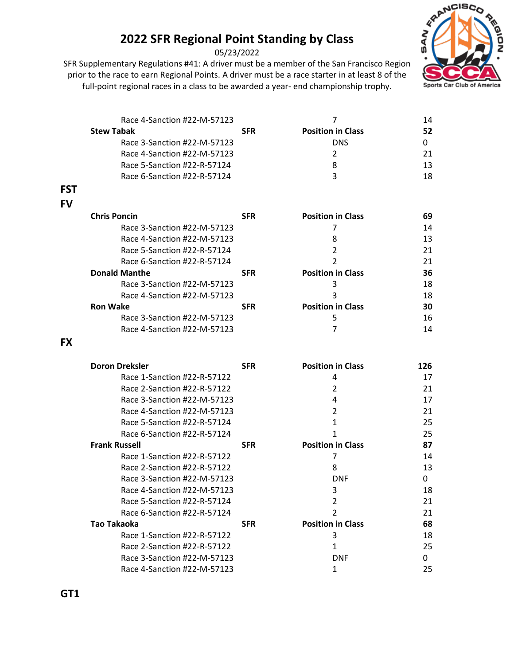05/23/2022



|            | Race 4-Sanction #22-M-57123 |            | 7                        | 14  |
|------------|-----------------------------|------------|--------------------------|-----|
|            | <b>Stew Tabak</b>           | <b>SFR</b> | <b>Position in Class</b> | 52  |
|            | Race 3-Sanction #22-M-57123 |            | <b>DNS</b>               | 0   |
|            | Race 4-Sanction #22-M-57123 |            | 2                        | 21  |
|            | Race 5-Sanction #22-R-57124 |            | 8                        | 13  |
|            | Race 6-Sanction #22-R-57124 |            | 3                        | 18  |
| <b>FST</b> |                             |            |                          |     |
| <b>FV</b>  |                             |            |                          |     |
|            | <b>Chris Poncin</b>         | <b>SFR</b> | <b>Position in Class</b> | 69  |
|            | Race 3-Sanction #22-M-57123 |            | 7                        | 14  |
|            | Race 4-Sanction #22-M-57123 |            | 8                        | 13  |
|            | Race 5-Sanction #22-R-57124 |            | $\overline{2}$           | 21  |
|            | Race 6-Sanction #22-R-57124 |            | $\overline{2}$           | 21  |
|            | <b>Donald Manthe</b>        | <b>SFR</b> | <b>Position in Class</b> | 36  |
|            | Race 3-Sanction #22-M-57123 |            | 3                        | 18  |
|            | Race 4-Sanction #22-M-57123 |            | 3                        | 18  |
|            | <b>Ron Wake</b>             | <b>SFR</b> | <b>Position in Class</b> | 30  |
|            | Race 3-Sanction #22-M-57123 |            | 5                        | 16  |
|            | Race 4-Sanction #22-M-57123 |            | 7                        | 14  |
| <b>FX</b>  |                             |            |                          |     |
|            | <b>Doron Dreksler</b>       | <b>SFR</b> | <b>Position in Class</b> | 126 |
|            | Race 1-Sanction #22-R-57122 |            | 4                        | 17  |
|            | Race 2-Sanction #22-R-57122 |            | 2                        | 21  |
|            | Race 3-Sanction #22-M-57123 |            | 4                        | 17  |
|            | Race 4-Sanction #22-M-57123 |            | 2                        | 21  |
|            | Race 5-Sanction #22-R-57124 |            | 1                        | 25  |
|            | Race 6-Sanction #22-R-57124 |            | 1                        | 25  |
|            | <b>Frank Russell</b>        | <b>SFR</b> | <b>Position in Class</b> | 87  |
|            | Race 1-Sanction #22-R-57122 |            | 7                        | 14  |
|            | Race 2-Sanction #22-R-57122 |            | 8                        | 13  |
|            | Race 3-Sanction #22-M-57123 |            | <b>DNF</b>               | 0   |
|            | Race 4-Sanction #22-M-57123 |            | 3                        | 18  |
|            | Race 5-Sanction #22-R-57124 |            | 2                        | 21  |
|            | Race 6-Sanction #22-R-57124 |            | $\overline{2}$           | 21  |
|            | <b>Tao Takaoka</b>          | <b>SFR</b> | <b>Position in Class</b> | 68  |
|            | Race 1-Sanction #22-R-57122 |            | 3                        | 18  |
|            | Race 2-Sanction #22-R-57122 |            | $\mathbf{1}$             | 25  |
|            | Race 3-Sanction #22-M-57123 |            | <b>DNF</b>               | 0   |
|            | Race 4-Sanction #22-M-57123 |            | $\mathbf{1}$             | 25  |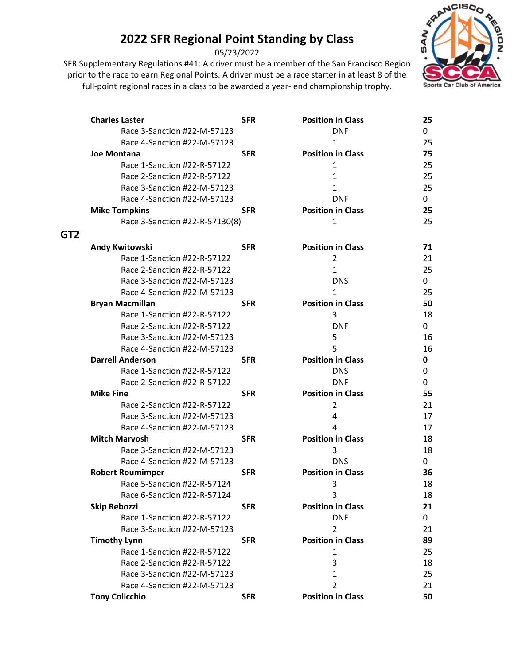05/23/2022



|                 | <b>Charles Laster</b>          | <b>SFR</b> | <b>Position in Class</b> | 25 |
|-----------------|--------------------------------|------------|--------------------------|----|
|                 | Race 3-Sanction #22-M-57123    |            | <b>DNF</b>               | 0  |
|                 | Race 4-Sanction #22-M-57123    |            | $\mathbf{1}$             | 25 |
|                 | <b>Joe Montana</b>             | <b>SFR</b> | <b>Position in Class</b> | 75 |
|                 | Race 1-Sanction #22-R-57122    |            | 1                        | 25 |
|                 | Race 2-Sanction #22-R-57122    |            | 1                        | 25 |
|                 | Race 3-Sanction #22-M-57123    |            | 1                        | 25 |
|                 | Race 4-Sanction #22-M-57123    |            | <b>DNF</b>               | 0  |
|                 | <b>Mike Tompkins</b>           | <b>SFR</b> | <b>Position in Class</b> | 25 |
|                 | Race 3-Sanction #22-R-57130(8) |            | 1                        | 25 |
| GT <sub>2</sub> |                                |            |                          |    |
|                 | Andy Kwitowski                 | <b>SFR</b> | <b>Position in Class</b> | 71 |
|                 | Race 1-Sanction #22-R-57122    |            | $\overline{2}$           | 21 |
|                 | Race 2-Sanction #22-R-57122    |            | $\mathbf{1}$             | 25 |
|                 | Race 3-Sanction #22-M-57123    |            | <b>DNS</b>               | 0  |
|                 | Race 4-Sanction #22-M-57123    |            | $\mathbf{1}$             | 25 |
|                 | <b>Bryan Macmillan</b>         | <b>SFR</b> | <b>Position in Class</b> | 50 |
|                 | Race 1-Sanction #22-R-57122    |            | 3                        | 18 |
|                 | Race 2-Sanction #22-R-57122    |            | <b>DNF</b>               | 0  |
|                 | Race 3-Sanction #22-M-57123    |            | 5                        | 16 |
|                 | Race 4-Sanction #22-M-57123    |            | 5                        | 16 |
|                 | <b>Darrell Anderson</b>        | <b>SFR</b> | <b>Position in Class</b> | 0  |
|                 | Race 1-Sanction #22-R-57122    |            | <b>DNS</b>               | 0  |
|                 | Race 2-Sanction #22-R-57122    |            | <b>DNF</b>               | 0  |
|                 | <b>Mike Fine</b>               | <b>SFR</b> | <b>Position in Class</b> | 55 |
|                 | Race 2-Sanction #22-R-57122    |            | $\overline{2}$           | 21 |
|                 | Race 3-Sanction #22-M-57123    |            | 4                        | 17 |
|                 | Race 4-Sanction #22-M-57123    |            | 4                        | 17 |
|                 | <b>Mitch Marvosh</b>           | <b>SFR</b> | <b>Position in Class</b> | 18 |
|                 | Race 3-Sanction #22-M-57123    |            | 3                        | 18 |
|                 | Race 4-Sanction #22-M-57123    |            | <b>DNS</b>               | 0  |
|                 | <b>Robert Roumimper</b>        | <b>SFR</b> | <b>Position in Class</b> | 36 |
|                 | Race 5-Sanction #22-R-57124    |            | 3                        | 18 |
|                 | Race 6-Sanction #22-R-57124    |            | 3                        | 18 |
|                 | <b>Skip Rebozzi</b>            | <b>SFR</b> | <b>Position in Class</b> | 21 |
|                 | Race 1-Sanction #22-R-57122    |            | <b>DNF</b>               | 0  |
|                 | Race 3-Sanction #22-M-57123    |            | $\overline{2}$           | 21 |
|                 | <b>Timothy Lynn</b>            | <b>SFR</b> | <b>Position in Class</b> | 89 |
|                 | Race 1-Sanction #22-R-57122    |            | 1                        | 25 |
|                 | Race 2-Sanction #22-R-57122    |            | 3                        | 18 |
|                 | Race 3-Sanction #22-M-57123    |            | $\mathbf{1}$             | 25 |
|                 | Race 4-Sanction #22-M-57123    |            | $\overline{2}$           | 21 |
|                 | <b>Tony Colicchio</b>          | <b>SFR</b> | <b>Position in Class</b> | 50 |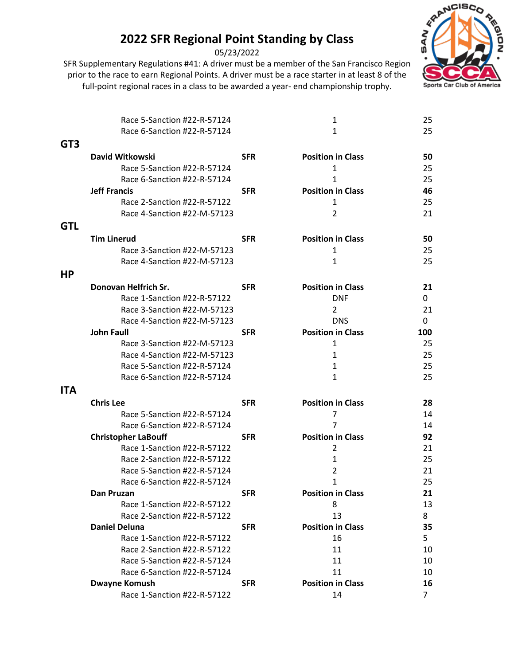05/23/2022



|                 | Race 5-Sanction #22-R-57124                         |            | 1                              | 25                   |
|-----------------|-----------------------------------------------------|------------|--------------------------------|----------------------|
|                 | Race 6-Sanction #22-R-57124                         |            | $\mathbf{1}$                   | 25                   |
| GT <sub>3</sub> |                                                     |            |                                |                      |
|                 | David Witkowski                                     | <b>SFR</b> | <b>Position in Class</b>       | 50                   |
|                 | Race 5-Sanction #22-R-57124                         |            | 1                              | 25                   |
|                 | Race 6-Sanction #22-R-57124                         |            | 1                              | 25                   |
|                 | <b>Jeff Francis</b>                                 | <b>SFR</b> | <b>Position in Class</b>       | 46                   |
|                 | Race 2-Sanction #22-R-57122                         |            | 1                              | 25                   |
|                 | Race 4-Sanction #22-M-57123                         |            | $\overline{2}$                 | 21                   |
| <b>GTL</b>      |                                                     |            |                                |                      |
|                 | <b>Tim Linerud</b>                                  | <b>SFR</b> | <b>Position in Class</b>       | 50                   |
|                 | Race 3-Sanction #22-M-57123                         |            | 1                              | 25                   |
|                 | Race 4-Sanction #22-M-57123                         |            | 1                              | 25                   |
| HP              |                                                     |            |                                |                      |
|                 | Donovan Helfrich Sr.                                | <b>SFR</b> | <b>Position in Class</b>       | 21                   |
|                 | Race 1-Sanction #22-R-57122                         |            | <b>DNF</b>                     | 0                    |
|                 | Race 3-Sanction #22-M-57123                         |            | 2                              | 21                   |
|                 | Race 4-Sanction #22-M-57123                         |            | <b>DNS</b>                     | 0                    |
|                 | <b>John Faull</b>                                   | <b>SFR</b> | <b>Position in Class</b>       | 100                  |
|                 | Race 3-Sanction #22-M-57123                         |            | 1                              | 25                   |
|                 | Race 4-Sanction #22-M-57123                         |            | 1                              | 25                   |
|                 | Race 5-Sanction #22-R-57124                         |            | 1                              | 25                   |
|                 | Race 6-Sanction #22-R-57124                         |            | 1                              | 25                   |
| <b>ITA</b>      |                                                     |            |                                |                      |
|                 | <b>Chris Lee</b>                                    | <b>SFR</b> | <b>Position in Class</b>       | 28                   |
|                 | Race 5-Sanction #22-R-57124                         |            | $\overline{7}$                 | 14                   |
|                 | Race 6-Sanction #22-R-57124                         |            | 7                              | 14                   |
|                 | <b>Christopher LaBouff</b>                          | <b>SFR</b> | <b>Position in Class</b>       | 92                   |
|                 | Race 1-Sanction #22-R-57122                         |            | $\overline{2}$                 | 21                   |
|                 | Race 2-Sanction #22-R-57122                         |            | $\mathbf{1}$                   | 25                   |
|                 | Race 5-Sanction #22-R-57124                         |            | 2                              | 21                   |
|                 | Race 6-Sanction #22-R-57124                         |            | $\mathbf{1}$                   | 25                   |
|                 | Dan Pruzan                                          | <b>SFR</b> | <b>Position in Class</b>       | 21                   |
|                 | Race 1-Sanction #22-R-57122                         |            | 8                              | 13                   |
|                 | Race 2-Sanction #22-R-57122                         |            | 13                             | 8                    |
|                 | <b>Daniel Deluna</b>                                | <b>SFR</b> | <b>Position in Class</b>       | 35                   |
|                 | Race 1-Sanction #22-R-57122                         |            | 16                             | 5                    |
|                 | Race 2-Sanction #22-R-57122                         |            | 11                             | 10                   |
|                 | Race 5-Sanction #22-R-57124                         |            | 11                             | 10                   |
|                 | Race 6-Sanction #22-R-57124                         |            | 11<br><b>Position in Class</b> | 10                   |
|                 | <b>Dwayne Komush</b><br>Race 1-Sanction #22-R-57122 | <b>SFR</b> |                                | 16<br>$\overline{7}$ |
|                 |                                                     |            | 14                             |                      |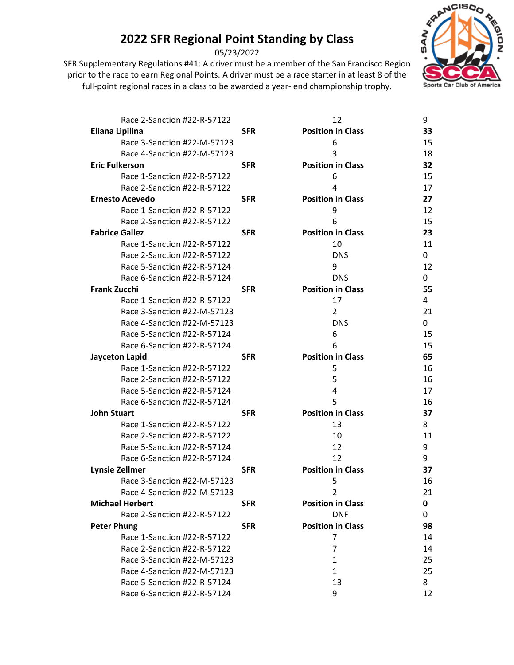05/23/2022



| Race 2-Sanction #22-R-57122 |            | 12                       | 9  |
|-----------------------------|------------|--------------------------|----|
| Eliana Lipilina             | <b>SFR</b> | <b>Position in Class</b> | 33 |
| Race 3-Sanction #22-M-57123 |            | 6                        | 15 |
| Race 4-Sanction #22-M-57123 |            | 3                        | 18 |
| <b>Eric Fulkerson</b>       | <b>SFR</b> | <b>Position in Class</b> | 32 |
| Race 1-Sanction #22-R-57122 |            | 6                        | 15 |
| Race 2-Sanction #22-R-57122 |            | 4                        | 17 |
| <b>Ernesto Acevedo</b>      | <b>SFR</b> | <b>Position in Class</b> | 27 |
| Race 1-Sanction #22-R-57122 |            | 9                        | 12 |
| Race 2-Sanction #22-R-57122 |            | 6                        | 15 |
| <b>Fabrice Gallez</b>       | <b>SFR</b> | <b>Position in Class</b> | 23 |
| Race 1-Sanction #22-R-57122 |            | 10                       | 11 |
| Race 2-Sanction #22-R-57122 |            | <b>DNS</b>               | 0  |
| Race 5-Sanction #22-R-57124 |            | 9                        | 12 |
| Race 6-Sanction #22-R-57124 |            | <b>DNS</b>               | 0  |
| <b>Frank Zucchi</b>         | <b>SFR</b> | <b>Position in Class</b> | 55 |
| Race 1-Sanction #22-R-57122 |            | 17                       | 4  |
| Race 3-Sanction #22-M-57123 |            | $\overline{2}$           | 21 |
| Race 4-Sanction #22-M-57123 |            | <b>DNS</b>               | 0  |
| Race 5-Sanction #22-R-57124 |            | 6                        | 15 |
| Race 6-Sanction #22-R-57124 |            | 6                        | 15 |
| <b>Jayceton Lapid</b>       | <b>SFR</b> | <b>Position in Class</b> | 65 |
| Race 1-Sanction #22-R-57122 |            | 5                        | 16 |
| Race 2-Sanction #22-R-57122 |            | 5                        | 16 |
| Race 5-Sanction #22-R-57124 |            | 4                        | 17 |
| Race 6-Sanction #22-R-57124 |            | 5                        | 16 |
| <b>John Stuart</b>          | <b>SFR</b> | <b>Position in Class</b> | 37 |
| Race 1-Sanction #22-R-57122 |            | 13                       | 8  |
| Race 2-Sanction #22-R-57122 |            | 10                       | 11 |
| Race 5-Sanction #22-R-57124 |            | 12                       | 9  |
| Race 6-Sanction #22-R-57124 |            | 12                       | 9  |
| <b>Lynsie Zellmer</b>       | <b>SFR</b> | <b>Position in Class</b> | 37 |
| Race 3-Sanction #22-M-57123 |            | 5                        | 16 |
| Race 4-Sanction #22-M-57123 |            | 2                        | 21 |
| <b>Michael Herbert</b>      | <b>SFR</b> | <b>Position in Class</b> | 0  |
| Race 2-Sanction #22-R-57122 |            | <b>DNF</b>               | 0  |
| <b>Peter Phung</b>          | <b>SFR</b> | <b>Position in Class</b> | 98 |
| Race 1-Sanction #22-R-57122 |            | 7                        | 14 |
| Race 2-Sanction #22-R-57122 |            | 7                        | 14 |
| Race 3-Sanction #22-M-57123 |            | $\mathbf{1}$             | 25 |
| Race 4-Sanction #22-M-57123 |            | $\mathbf{1}$             | 25 |
| Race 5-Sanction #22-R-57124 |            | 13                       | 8  |
| Race 6-Sanction #22-R-57124 |            | 9                        | 12 |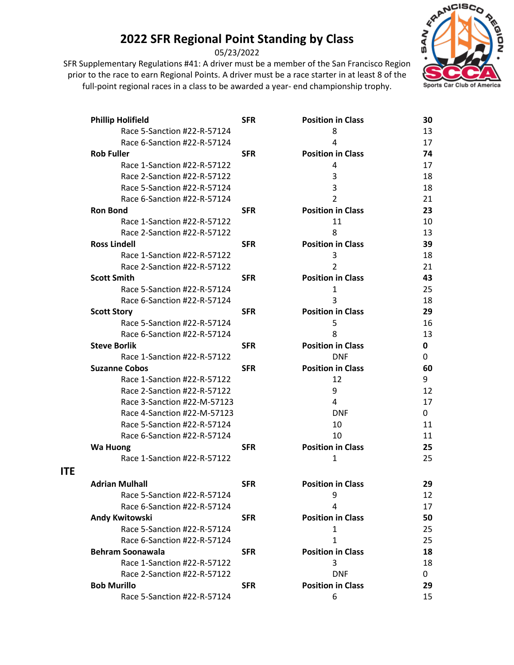05/23/2022

prior to the race to earn Regional Points. A driver must be a race starter in at least 8 of the full-point regional races in a class to be awarded a year- end championship trophy.



| <b>Phillip Holifield</b>    | <b>SFR</b> | <b>Position in Class</b> | 30 |
|-----------------------------|------------|--------------------------|----|
| Race 5-Sanction #22-R-57124 |            | 8                        | 13 |
| Race 6-Sanction #22-R-57124 |            | 4                        | 17 |
| <b>Rob Fuller</b>           | <b>SFR</b> | <b>Position in Class</b> | 74 |
| Race 1-Sanction #22-R-57122 |            | 4                        | 17 |
| Race 2-Sanction #22-R-57122 |            | 3                        | 18 |
| Race 5-Sanction #22-R-57124 |            | 3                        | 18 |
| Race 6-Sanction #22-R-57124 |            | 2                        | 21 |
| <b>Ron Bond</b>             | <b>SFR</b> | <b>Position in Class</b> | 23 |
| Race 1-Sanction #22-R-57122 |            | 11                       | 10 |
| Race 2-Sanction #22-R-57122 |            | 8                        | 13 |
| <b>Ross Lindell</b>         | <b>SFR</b> | <b>Position in Class</b> | 39 |
| Race 1-Sanction #22-R-57122 |            | 3                        | 18 |
| Race 2-Sanction #22-R-57122 |            | $\overline{2}$           | 21 |
| <b>Scott Smith</b>          | <b>SFR</b> | <b>Position in Class</b> | 43 |
| Race 5-Sanction #22-R-57124 |            | $\mathbf{1}$             | 25 |
| Race 6-Sanction #22-R-57124 |            | 3                        | 18 |
| <b>Scott Story</b>          | <b>SFR</b> | <b>Position in Class</b> | 29 |
| Race 5-Sanction #22-R-57124 |            | 5                        | 16 |
| Race 6-Sanction #22-R-57124 |            | 8                        | 13 |
| <b>Steve Borlik</b>         | <b>SFR</b> | <b>Position in Class</b> | 0  |
| Race 1-Sanction #22-R-57122 |            | <b>DNF</b>               | 0  |
| <b>Suzanne Cobos</b>        | <b>SFR</b> | <b>Position in Class</b> | 60 |
| Race 1-Sanction #22-R-57122 |            | 12                       | 9  |
| Race 2-Sanction #22-R-57122 |            | 9                        | 12 |
| Race 3-Sanction #22-M-57123 |            | 4                        | 17 |
| Race 4-Sanction #22-M-57123 |            | <b>DNF</b>               | 0  |
| Race 5-Sanction #22-R-57124 |            | 10                       | 11 |
| Race 6-Sanction #22-R-57124 |            | 10                       | 11 |
| <b>Wa Huong</b>             | <b>SFR</b> | <b>Position in Class</b> | 25 |
| Race 1-Sanction #22-R-57122 |            | 1                        | 25 |
| <b>Adrian Mulhall</b>       | <b>SFR</b> | <b>Position in Class</b> | 29 |
| Race 5-Sanction #22-R-57124 |            | 9                        | 12 |
| Race 6-Sanction #22-R-57124 |            | 4                        | 17 |
| <b>Andy Kwitowski</b>       | <b>SFR</b> | <b>Position in Class</b> | 50 |
| Race 5-Sanction #22-R-57124 |            | $\mathbf{1}$             | 25 |
| Race 6-Sanction #22-R-57124 |            | $\mathbf{1}$             | 25 |
| <b>Behram Soonawala</b>     | <b>SFR</b> | <b>Position in Class</b> | 18 |
| Race 1-Sanction #22-R-57122 |            | 3                        | 18 |
| Race 2-Sanction #22-R-57122 |            | <b>DNF</b>               | 0  |
| <b>Bob Murillo</b>          | <b>SFR</b> | <b>Position in Class</b> | 29 |
| Race 5-Sanction #22-R-57124 |            | 6                        | 15 |
|                             |            |                          |    |

**ITE**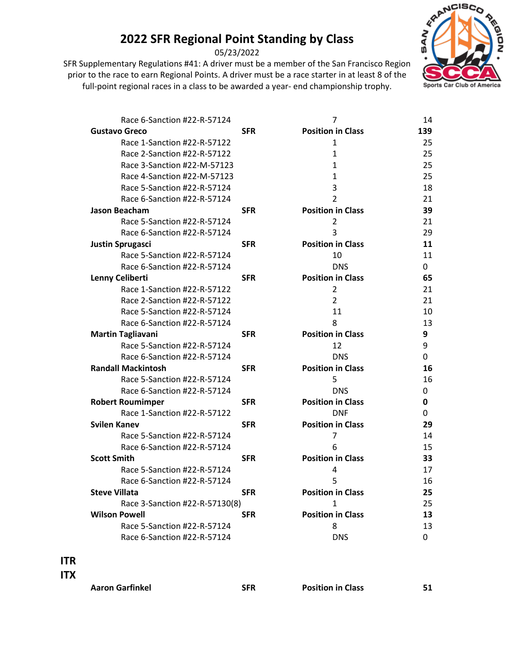05/23/2022

prior to the race to earn Regional Points. A driver must be a race starter in at least 8 of the full-point regional races in a class to be awarded a year- end championship trophy.



| Race 6-Sanction #22-R-57124    |            | 7                        | 14  |
|--------------------------------|------------|--------------------------|-----|
| <b>Gustavo Greco</b>           | <b>SFR</b> | <b>Position in Class</b> | 139 |
| Race 1-Sanction #22-R-57122    |            | $\mathbf{1}$             | 25  |
| Race 2-Sanction #22-R-57122    |            | $\mathbf{1}$             | 25  |
| Race 3-Sanction #22-M-57123    |            | $\mathbf{1}$             | 25  |
| Race 4-Sanction #22-M-57123    |            | $\mathbf{1}$             | 25  |
| Race 5-Sanction #22-R-57124    |            | 3                        | 18  |
| Race 6-Sanction #22-R-57124    |            | $\overline{2}$           | 21  |
| <b>Jason Beacham</b>           | <b>SFR</b> | <b>Position in Class</b> | 39  |
| Race 5-Sanction #22-R-57124    |            | $\overline{2}$           | 21  |
| Race 6-Sanction #22-R-57124    |            | 3                        | 29  |
| <b>Justin Sprugasci</b>        | <b>SFR</b> | <b>Position in Class</b> | 11  |
| Race 5-Sanction #22-R-57124    |            | 10                       | 11  |
| Race 6-Sanction #22-R-57124    |            | <b>DNS</b>               | 0   |
| Lenny Celiberti                | <b>SFR</b> | <b>Position in Class</b> | 65  |
| Race 1-Sanction #22-R-57122    |            | 2                        | 21  |
| Race 2-Sanction #22-R-57122    |            | $\overline{2}$           | 21  |
| Race 5-Sanction #22-R-57124    |            | 11                       | 10  |
| Race 6-Sanction #22-R-57124    |            | 8                        | 13  |
| <b>Martin Tagliavani</b>       | <b>SFR</b> | <b>Position in Class</b> | 9   |
| Race 5-Sanction #22-R-57124    |            | 12                       | 9   |
| Race 6-Sanction #22-R-57124    |            | <b>DNS</b>               | 0   |
| <b>Randall Mackintosh</b>      | <b>SFR</b> | <b>Position in Class</b> | 16  |
| Race 5-Sanction #22-R-57124    |            | 5                        | 16  |
| Race 6-Sanction #22-R-57124    |            | <b>DNS</b>               | 0   |
| <b>Robert Roumimper</b>        | <b>SFR</b> | <b>Position in Class</b> | 0   |
| Race 1-Sanction #22-R-57122    |            | <b>DNF</b>               | 0   |
| <b>Svilen Kanev</b>            | <b>SFR</b> | <b>Position in Class</b> | 29  |
| Race 5-Sanction #22-R-57124    |            | 7                        | 14  |
| Race 6-Sanction #22-R-57124    |            | 6                        | 15  |
| <b>Scott Smith</b>             | <b>SFR</b> | <b>Position in Class</b> | 33  |
| Race 5-Sanction #22-R-57124    |            | 4                        | 17  |
| Race 6-Sanction #22-R-57124    |            | 5                        | 16  |
| <b>Steve Villata</b>           | <b>SFR</b> | <b>Position in Class</b> | 25  |
| Race 3-Sanction #22-R-57130(8) |            | $\mathbf{1}$             | 25  |
| <b>Wilson Powell</b>           | <b>SFR</b> | <b>Position in Class</b> | 13  |
| Race 5-Sanction #22-R-57124    |            | 8                        | 13  |
| Race 6-Sanction #22-R-57124    |            | <b>DNS</b>               | 0   |

#### **ITR**

**ITX**

**Aaron Garfinkel SFR Position in Class 51**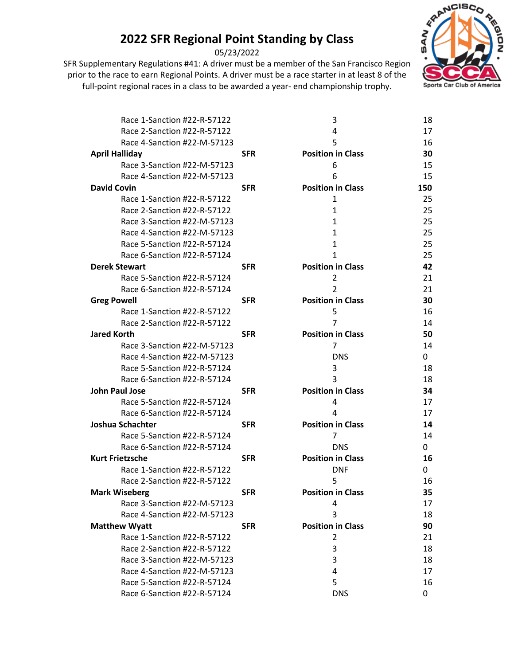05/23/2022

SFR Supplementary Regulations #41: A driver must be a member of the San Francisco Region prior to the race to earn Regional Points. A driver must be a race starter in at least 8 of the full-point regional races in a class to be awarded a year- end championship trophy.



| Race 1-Sanction #22-R-57122 |            | 3                        | 18  |
|-----------------------------|------------|--------------------------|-----|
| Race 2-Sanction #22-R-57122 |            | 4                        | 17  |
| Race 4-Sanction #22-M-57123 |            | 5                        | 16  |
| <b>April Halliday</b>       | <b>SFR</b> | <b>Position in Class</b> | 30  |
| Race 3-Sanction #22-M-57123 |            | 6                        | 15  |
| Race 4-Sanction #22-M-57123 |            | 6                        | 15  |
| <b>David Covin</b>          | <b>SFR</b> | <b>Position in Class</b> | 150 |
| Race 1-Sanction #22-R-57122 |            | 1                        | 25  |
| Race 2-Sanction #22-R-57122 |            | 1                        | 25  |
| Race 3-Sanction #22-M-57123 |            | 1                        | 25  |
| Race 4-Sanction #22-M-57123 |            | 1                        | 25  |
| Race 5-Sanction #22-R-57124 |            | 1                        | 25  |
| Race 6-Sanction #22-R-57124 |            | 1                        | 25  |
| <b>Derek Stewart</b>        | <b>SFR</b> | <b>Position in Class</b> | 42  |
| Race 5-Sanction #22-R-57124 |            | 2                        | 21  |
| Race 6-Sanction #22-R-57124 |            | $\mathfrak z$            | 21  |
| <b>Greg Powell</b>          | <b>SFR</b> | <b>Position in Class</b> | 30  |
| Race 1-Sanction #22-R-57122 |            | 5                        | 16  |
| Race 2-Sanction #22-R-57122 |            | $\overline{7}$           | 14  |
| <b>Jared Korth</b>          | <b>SFR</b> | <b>Position in Class</b> | 50  |
| Race 3-Sanction #22-M-57123 |            | 7                        | 14  |
| Race 4-Sanction #22-M-57123 |            | <b>DNS</b>               | 0   |
| Race 5-Sanction #22-R-57124 |            | 3                        | 18  |
| Race 6-Sanction #22-R-57124 |            | 3                        | 18  |
| <b>John Paul Jose</b>       | <b>SFR</b> | <b>Position in Class</b> | 34  |
| Race 5-Sanction #22-R-57124 |            | 4                        | 17  |
| Race 6-Sanction #22-R-57124 |            | 4                        | 17  |
| Joshua Schachter            | <b>SFR</b> | <b>Position in Class</b> | 14  |
| Race 5-Sanction #22-R-57124 |            | 7                        | 14  |
| Race 6-Sanction #22-R-57124 |            | <b>DNS</b>               | 0   |
| <b>Kurt Frietzsche</b>      | <b>SFR</b> | <b>Position in Class</b> | 16  |
| Race 1-Sanction #22-R-57122 |            | <b>DNF</b>               | 0   |
| Race 2-Sanction #22-R-57122 |            | 5                        | 16  |
| <b>Mark Wiseberg</b>        | <b>SFR</b> | <b>Position in Class</b> | 35  |
| Race 3-Sanction #22-M-57123 |            | 4                        | 17  |
| Race 4-Sanction #22-M-57123 |            | 3                        | 18  |
| <b>Matthew Wyatt</b>        | <b>SFR</b> | <b>Position in Class</b> | 90  |
| Race 1-Sanction #22-R-57122 |            | 2                        | 21  |
| Race 2-Sanction #22-R-57122 |            | 3                        | 18  |
| Race 3-Sanction #22-M-57123 |            | 3                        | 18  |
| Race 4-Sanction #22-M-57123 |            | 4                        | 17  |
| Race 5-Sanction #22-R-57124 |            | 5                        | 16  |
| Race 6-Sanction #22-R-57124 |            | <b>DNS</b>               | 0   |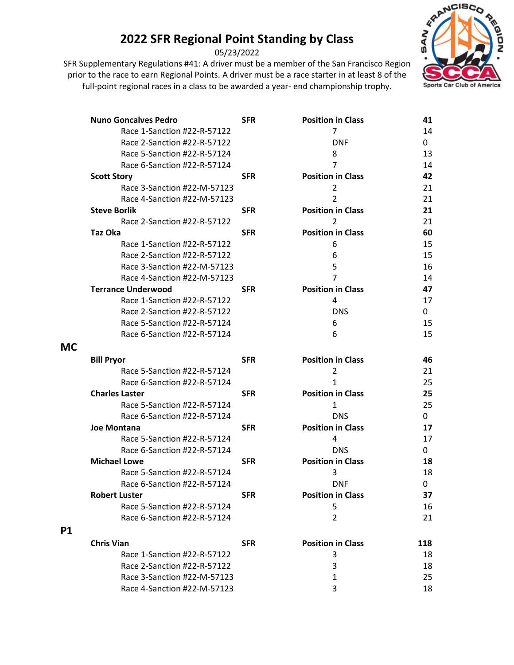05/23/2022



|           | <b>Nuno Goncalves Pedro</b> | <b>SFR</b> | <b>Position in Class</b> | 41       |
|-----------|-----------------------------|------------|--------------------------|----------|
|           | Race 1-Sanction #22-R-57122 |            | 7                        | 14       |
|           | Race 2-Sanction #22-R-57122 |            | <b>DNF</b>               | 0        |
|           | Race 5-Sanction #22-R-57124 |            | 8                        | 13       |
|           | Race 6-Sanction #22-R-57124 |            | 7                        | 14       |
|           | <b>Scott Story</b>          | <b>SFR</b> | <b>Position in Class</b> | 42       |
|           | Race 3-Sanction #22-M-57123 |            | 2                        | 21       |
|           | Race 4-Sanction #22-M-57123 |            | $\overline{2}$           | 21       |
|           | <b>Steve Borlik</b>         | <b>SFR</b> | <b>Position in Class</b> | 21       |
|           | Race 2-Sanction #22-R-57122 |            | $\overline{2}$           | 21       |
|           | Taz Oka                     | <b>SFR</b> | <b>Position in Class</b> | 60       |
|           | Race 1-Sanction #22-R-57122 |            | 6                        | 15       |
|           | Race 2-Sanction #22-R-57122 |            | 6                        | 15       |
|           | Race 3-Sanction #22-M-57123 |            | 5                        | 16       |
|           | Race 4-Sanction #22-M-57123 |            | 7                        | 14       |
|           | <b>Terrance Underwood</b>   | <b>SFR</b> | <b>Position in Class</b> | 47       |
|           | Race 1-Sanction #22-R-57122 |            | 4                        | 17       |
|           | Race 2-Sanction #22-R-57122 |            | <b>DNS</b>               | 0        |
|           | Race 5-Sanction #22-R-57124 |            | 6                        | 15       |
|           | Race 6-Sanction #22-R-57124 |            | 6                        | 15       |
| <b>MC</b> |                             |            |                          |          |
|           |                             |            |                          |          |
|           | <b>Bill Pryor</b>           | <b>SFR</b> | <b>Position in Class</b> | 46<br>21 |
|           | Race 5-Sanction #22-R-57124 |            | $\overline{2}$<br>1      | 25       |
|           | Race 6-Sanction #22-R-57124 |            |                          |          |
|           | <b>Charles Laster</b>       | <b>SFR</b> | <b>Position in Class</b> | 25       |
|           | Race 5-Sanction #22-R-57124 |            | 1                        | 25       |
|           | Race 6-Sanction #22-R-57124 |            | <b>DNS</b>               | 0        |
|           | <b>Joe Montana</b>          | <b>SFR</b> | <b>Position in Class</b> | 17       |
|           | Race 5-Sanction #22-R-57124 |            | 4                        | 17       |
|           | Race 6-Sanction #22-R-57124 |            | <b>DNS</b>               | 0        |
|           | <b>Michael Lowe</b>         | <b>SFR</b> | <b>Position in Class</b> | 18       |
|           | Race 5-Sanction #22-R-57124 |            | 3                        | 18       |
|           | Race 6-Sanction #22-R-57124 |            | <b>DNF</b>               | 0        |
|           | <b>Robert Luster</b>        | <b>SFR</b> | <b>Position in Class</b> | 37       |
|           | Race 5-Sanction #22-R-57124 |            | 5                        | 16       |
|           | Race 6-Sanction #22-R-57124 |            | $\overline{2}$           | 21       |
| <b>P1</b> |                             |            |                          |          |
|           | <b>Chris Vian</b>           | <b>SFR</b> | <b>Position in Class</b> | 118      |
|           | Race 1-Sanction #22-R-57122 |            | 3                        | 18       |
|           | Race 2-Sanction #22-R-57122 |            | 3                        | 18       |
|           | Race 3-Sanction #22-M-57123 |            | 1                        | 25       |
|           | Race 4-Sanction #22-M-57123 |            | 3                        | 18       |
|           |                             |            |                          |          |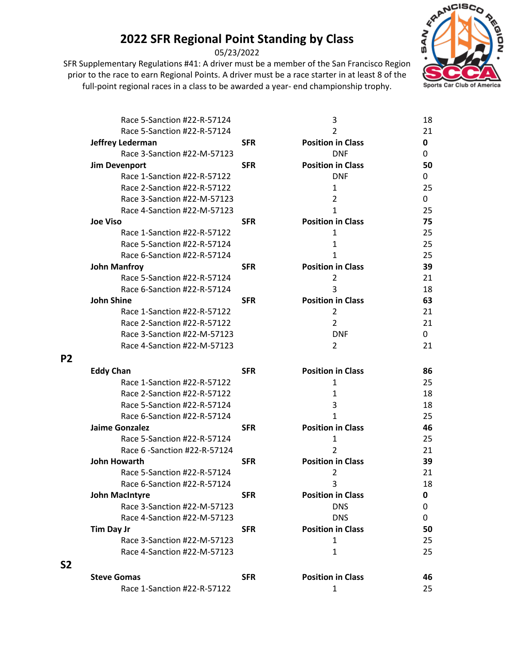05/23/2022

prior to the race to earn Regional Points. A driver must be a race starter in at least 8 of the full-point regional races in a class to be awarded a year- end championship trophy.



| Race 5-Sanction #22-R-57124   |            | 3                        | 18 |
|-------------------------------|------------|--------------------------|----|
| Race 5-Sanction #22-R-57124   |            | 2                        | 21 |
| Jeffrey Lederman              | <b>SFR</b> | <b>Position in Class</b> | 0  |
| Race 3-Sanction #22-M-57123   |            | <b>DNF</b>               | 0  |
| <b>Jim Devenport</b>          | <b>SFR</b> | <b>Position in Class</b> | 50 |
| Race 1-Sanction #22-R-57122   |            | <b>DNF</b>               | 0  |
| Race 2-Sanction #22-R-57122   |            | $\mathbf{1}$             | 25 |
| Race 3-Sanction #22-M-57123   |            | 2                        | 0  |
| Race 4-Sanction #22-M-57123   |            | 1                        | 25 |
| <b>Joe Viso</b>               | <b>SFR</b> | <b>Position in Class</b> | 75 |
| Race 1-Sanction #22-R-57122   |            | 1                        | 25 |
| Race 5-Sanction #22-R-57124   |            | 1                        | 25 |
| Race 6-Sanction #22-R-57124   |            | 1                        | 25 |
| <b>John Manfroy</b>           | <b>SFR</b> | <b>Position in Class</b> | 39 |
| Race 5-Sanction #22-R-57124   |            | 2                        | 21 |
| Race 6-Sanction #22-R-57124   |            | 3                        | 18 |
| <b>John Shine</b>             | <b>SFR</b> | <b>Position in Class</b> | 63 |
| Race 1-Sanction #22-R-57122   |            | $\overline{2}$           | 21 |
| Race 2-Sanction #22-R-57122   |            | $\overline{2}$           | 21 |
| Race 3-Sanction #22-M-57123   |            | <b>DNF</b>               | 0  |
| Race 4-Sanction #22-M-57123   |            | 2                        | 21 |
| <b>Eddy Chan</b>              | <b>SFR</b> | <b>Position in Class</b> | 86 |
| Race 1-Sanction #22-R-57122   |            | 1                        | 25 |
| Race 2-Sanction #22-R-57122   |            | $\mathbf{1}$             | 18 |
| Race 5-Sanction #22-R-57124   |            | 3                        | 18 |
| Race 6-Sanction #22-R-57124   |            | 1                        | 25 |
| <b>Jaime Gonzalez</b>         | <b>SFR</b> | <b>Position in Class</b> | 46 |
| Race 5-Sanction #22-R-57124   |            | 1                        | 25 |
| Race 6 - Sanction #22-R-57124 |            | 2                        | 21 |
| John Howarth                  | <b>SFR</b> | <b>Position in Class</b> | 39 |
| Race 5-Sanction #22-R-57124   |            | 2                        | 21 |
| Race 6-Sanction #22-R-57124   |            | 3                        | 18 |
| <b>John MacIntyre</b>         | <b>SFR</b> | <b>Position in Class</b> | 0  |
| Race 3-Sanction #22-M-57123   |            | <b>DNS</b>               | 0  |
| Race 4-Sanction #22-M-57123   |            | <b>DNS</b>               | 0  |
| <b>Tim Day Jr</b>             | <b>SFR</b> | <b>Position in Class</b> | 50 |
| Race 3-Sanction #22-M-57123   |            | 1                        | 25 |
| Race 4-Sanction #22-M-57123   |            | 1                        | 25 |
| <b>Steve Gomas</b>            | <b>SFR</b> | <b>Position in Class</b> | 46 |
| Race 1-Sanction #22-R-57122   |            | $\mathbf{1}$             | 25 |

**P2**

**S2**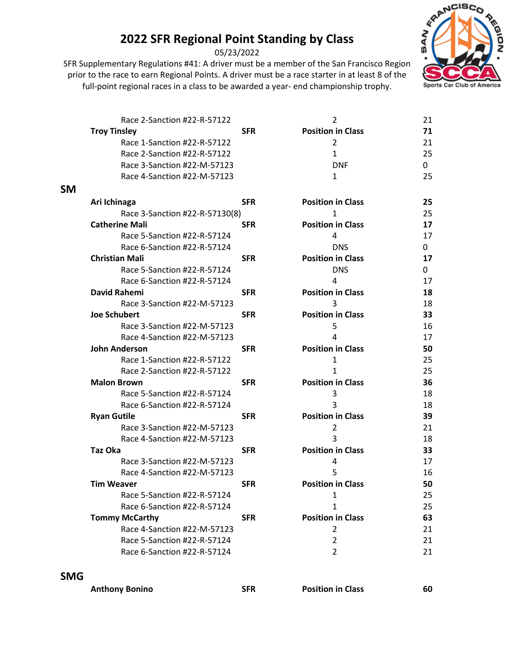05/23/2022

prior to the race to earn Regional Points. A driver must be a race starter in at least 8 of the full-point regional races in a class to be awarded a year- end championship trophy.



|           | Race 2-Sanction #22-R-57122    |            | $\overline{2}$           | 21 |
|-----------|--------------------------------|------------|--------------------------|----|
|           | <b>Troy Tinsley</b>            | <b>SFR</b> | <b>Position in Class</b> | 71 |
|           | Race 1-Sanction #22-R-57122    |            | 2                        | 21 |
|           | Race 2-Sanction #22-R-57122    |            | $\mathbf{1}$             | 25 |
|           | Race 3-Sanction #22-M-57123    |            | <b>DNF</b>               | 0  |
|           | Race 4-Sanction #22-M-57123    |            | 1                        | 25 |
| <b>SM</b> |                                |            |                          |    |
|           | Ari Ichinaga                   | <b>SFR</b> | <b>Position in Class</b> | 25 |
|           | Race 3-Sanction #22-R-57130(8) |            | 1                        | 25 |
|           | <b>Catherine Mali</b>          | <b>SFR</b> | <b>Position in Class</b> | 17 |
|           | Race 5-Sanction #22-R-57124    |            | 4                        | 17 |
|           | Race 6-Sanction #22-R-57124    |            | <b>DNS</b>               | 0  |
|           | <b>Christian Mali</b>          | <b>SFR</b> | <b>Position in Class</b> | 17 |
|           | Race 5-Sanction #22-R-57124    |            | <b>DNS</b>               | 0  |
|           | Race 6-Sanction #22-R-57124    |            | 4                        | 17 |
|           | David Rahemi                   | <b>SFR</b> | <b>Position in Class</b> | 18 |
|           | Race 3-Sanction #22-M-57123    |            | 3                        | 18 |
|           | <b>Joe Schubert</b>            | <b>SFR</b> | <b>Position in Class</b> | 33 |
|           | Race 3-Sanction #22-M-57123    |            | 5                        | 16 |
|           | Race 4-Sanction #22-M-57123    |            | 4                        | 17 |
|           | <b>John Anderson</b>           | <b>SFR</b> | <b>Position in Class</b> | 50 |
|           | Race 1-Sanction #22-R-57122    |            | 1                        | 25 |
|           | Race 2-Sanction #22-R-57122    |            | 1                        | 25 |
|           | <b>Malon Brown</b>             | <b>SFR</b> | <b>Position in Class</b> | 36 |
|           | Race 5-Sanction #22-R-57124    |            | 3                        | 18 |
|           | Race 6-Sanction #22-R-57124    |            | 3                        | 18 |
|           | <b>Ryan Gutile</b>             | <b>SFR</b> | <b>Position in Class</b> | 39 |
|           | Race 3-Sanction #22-M-57123    |            | $\overline{2}$           | 21 |
|           | Race 4-Sanction #22-M-57123    |            | 3                        | 18 |
|           | <b>Taz Oka</b>                 | <b>SFR</b> | <b>Position in Class</b> | 33 |
|           | Race 3-Sanction #22-M-57123    |            | 4                        | 17 |
|           | Race 4-Sanction #22-M-57123    |            | 5                        | 16 |
|           | <b>Tim Weaver</b>              | <b>SFR</b> | <b>Position in Class</b> | 50 |
|           | Race 5-Sanction #22-R-57124    |            | 1                        | 25 |
|           | Race 6-Sanction #22-R-57124    |            | 1                        | 25 |
|           | <b>Tommy McCarthy</b>          | <b>SFR</b> | <b>Position in Class</b> | 63 |
|           | Race 4-Sanction #22-M-57123    |            | 2                        | 21 |
|           | Race 5-Sanction #22-R-57124    |            | 2                        | 21 |
|           | Race 6-Sanction #22-R-57124    |            | $\overline{2}$           | 21 |
|           |                                |            |                          |    |

#### **SMG**

**Anthony Bonino SFR Position in Class 60**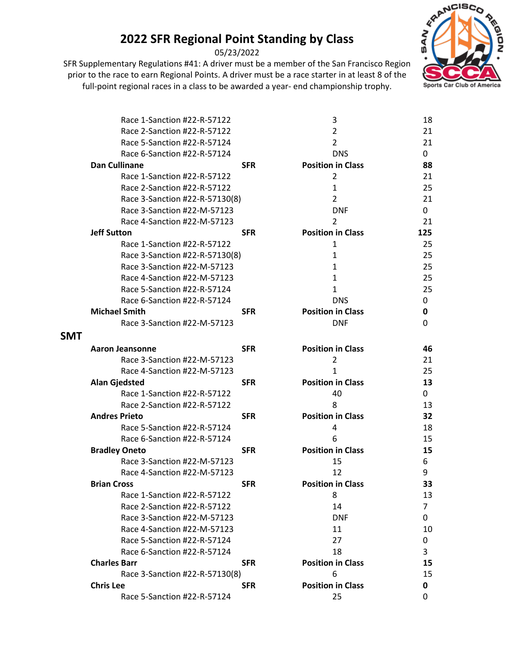05/23/2022



|            | Race 1-Sanction #22-R-57122    |            | 3                        | 18  |
|------------|--------------------------------|------------|--------------------------|-----|
|            | Race 2-Sanction #22-R-57122    |            | $\overline{2}$           | 21  |
|            | Race 5-Sanction #22-R-57124    |            | $\overline{2}$           | 21  |
|            | Race 6-Sanction #22-R-57124    |            | <b>DNS</b>               | 0   |
|            | Dan Cullinane                  | <b>SFR</b> | <b>Position in Class</b> | 88  |
|            | Race 1-Sanction #22-R-57122    |            | 2                        | 21  |
|            | Race 2-Sanction #22-R-57122    |            | 1                        | 25  |
|            | Race 3-Sanction #22-R-57130(8) |            | 2                        | 21  |
|            | Race 3-Sanction #22-M-57123    |            | <b>DNF</b>               | 0   |
|            | Race 4-Sanction #22-M-57123    |            | 2                        | 21  |
|            | <b>Jeff Sutton</b>             | <b>SFR</b> | <b>Position in Class</b> | 125 |
|            | Race 1-Sanction #22-R-57122    |            | 1                        | 25  |
|            | Race 3-Sanction #22-R-57130(8) |            | 1                        | 25  |
|            | Race 3-Sanction #22-M-57123    |            | $\mathbf{1}$             | 25  |
|            | Race 4-Sanction #22-M-57123    |            | $\mathbf{1}$             | 25  |
|            | Race 5-Sanction #22-R-57124    |            | $\mathbf{1}$             | 25  |
|            | Race 6-Sanction #22-R-57124    |            | <b>DNS</b>               | 0   |
|            | <b>Michael Smith</b>           | <b>SFR</b> | <b>Position in Class</b> | 0   |
|            | Race 3-Sanction #22-M-57123    |            | <b>DNF</b>               | 0   |
| <b>SMT</b> |                                |            |                          |     |
|            | <b>Aaron Jeansonne</b>         | <b>SFR</b> | <b>Position in Class</b> | 46  |
|            | Race 3-Sanction #22-M-57123    |            | 2                        | 21  |
|            | Race 4-Sanction #22-M-57123    |            | 1                        | 25  |
|            | <b>Alan Gjedsted</b>           | <b>SFR</b> | <b>Position in Class</b> | 13  |
|            | Race 1-Sanction #22-R-57122    |            | 40                       | 0   |
|            | Race 2-Sanction #22-R-57122    |            | 8                        | 13  |
|            | <b>Andres Prieto</b>           | <b>SFR</b> | <b>Position in Class</b> | 32  |
|            | Race 5-Sanction #22-R-57124    |            | 4                        | 18  |
|            | Race 6-Sanction #22-R-57124    |            | 6                        | 15  |
|            | <b>Bradley Oneto</b>           | <b>SFR</b> | <b>Position in Class</b> | 15  |
|            | Race 3-Sanction #22-M-57123    |            | 15                       | 6   |
|            | Race 4-Sanction #22-M-57123    |            | 12                       | 9   |
|            | <b>Brian Cross</b>             | <b>SFR</b> | <b>Position in Class</b> | 33  |
|            | Race 1-Sanction #22-R-57122    |            | 8                        | 13  |
|            | Race 2-Sanction #22-R-57122    |            | 14                       | 7   |
|            | Race 3-Sanction #22-M-57123    |            | <b>DNF</b>               | 0   |
|            | Race 4-Sanction #22-M-57123    |            | 11                       | 10  |
|            | Race 5-Sanction #22-R-57124    |            | 27                       | 0   |
|            | Race 6-Sanction #22-R-57124    |            | 18                       | 3   |
|            | <b>Charles Barr</b>            | <b>SFR</b> | <b>Position in Class</b> | 15  |
|            | Race 3-Sanction #22-R-57130(8) |            | 6                        | 15  |
|            | <b>Chris Lee</b>               | <b>SFR</b> | <b>Position in Class</b> | 0   |
|            | Race 5-Sanction #22-R-57124    |            | 25                       | 0   |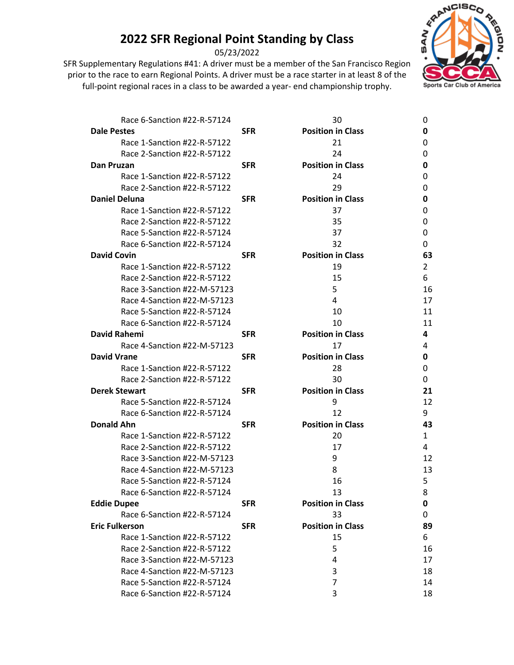05/23/2022

SFR Supplementary Regulations #41: A driver must be a member of the San Francisco Region prior to the race to earn Regional Points. A driver must be a race starter in at least 8 of the full-point regional races in a class to be awarded a year- end championship trophy.



| Race 6-Sanction #22-R-57124 |            | 30                       | 0              |
|-----------------------------|------------|--------------------------|----------------|
| <b>Dale Pestes</b>          | <b>SFR</b> | <b>Position in Class</b> | 0              |
| Race 1-Sanction #22-R-57122 |            | 21                       | 0              |
| Race 2-Sanction #22-R-57122 |            | 24                       | 0              |
| Dan Pruzan                  | <b>SFR</b> | <b>Position in Class</b> | 0              |
| Race 1-Sanction #22-R-57122 |            | 24                       | 0              |
| Race 2-Sanction #22-R-57122 |            | 29                       | 0              |
| <b>Daniel Deluna</b>        | <b>SFR</b> | <b>Position in Class</b> | 0              |
| Race 1-Sanction #22-R-57122 |            | 37                       | 0              |
| Race 2-Sanction #22-R-57122 |            | 35                       | 0              |
| Race 5-Sanction #22-R-57124 |            | 37                       | 0              |
| Race 6-Sanction #22-R-57124 |            | 32                       | 0              |
| <b>David Covin</b>          | <b>SFR</b> | <b>Position in Class</b> | 63             |
| Race 1-Sanction #22-R-57122 |            | 19                       | $\overline{2}$ |
| Race 2-Sanction #22-R-57122 |            | 15                       | 6              |
| Race 3-Sanction #22-M-57123 |            | 5                        | 16             |
| Race 4-Sanction #22-M-57123 |            | 4                        | 17             |
| Race 5-Sanction #22-R-57124 |            | 10                       | 11             |
| Race 6-Sanction #22-R-57124 |            | 10                       | 11             |
| David Rahemi                | <b>SFR</b> | <b>Position in Class</b> | 4              |
| Race 4-Sanction #22-M-57123 |            | 17                       | 4              |
| <b>David Vrane</b>          | <b>SFR</b> | <b>Position in Class</b> | 0              |
| Race 1-Sanction #22-R-57122 |            | 28                       | 0              |
| Race 2-Sanction #22-R-57122 |            | 30                       | 0              |
| <b>Derek Stewart</b>        | <b>SFR</b> | <b>Position in Class</b> | 21             |
| Race 5-Sanction #22-R-57124 |            | 9                        | 12             |
| Race 6-Sanction #22-R-57124 |            | 12                       | 9              |
| <b>Donald Ahn</b>           | <b>SFR</b> | <b>Position in Class</b> | 43             |
| Race 1-Sanction #22-R-57122 |            | 20                       | 1              |
| Race 2-Sanction #22-R-57122 |            | 17                       | 4              |
| Race 3-Sanction #22-M-57123 |            | 9                        | 12             |
| Race 4-Sanction #22-M-57123 |            | 8                        | 13             |
| Race 5-Sanction #22-R-57124 |            | 16                       | 5              |
| Race 6-Sanction #22-R-57124 |            | 13                       | 8              |
| <b>Eddie Dupee</b>          | <b>SFR</b> | <b>Position in Class</b> | 0              |
| Race 6-Sanction #22-R-57124 |            | 33                       | 0              |
| <b>Eric Fulkerson</b>       | <b>SFR</b> | <b>Position in Class</b> | 89             |
| Race 1-Sanction #22-R-57122 |            | 15                       | 6              |
| Race 2-Sanction #22-R-57122 |            | 5                        | 16             |
| Race 3-Sanction #22-M-57123 |            | 4                        | 17             |
| Race 4-Sanction #22-M-57123 |            | 3                        | 18             |
| Race 5-Sanction #22-R-57124 |            | 7                        | 14             |
| Race 6-Sanction #22-R-57124 |            | 3                        | 18             |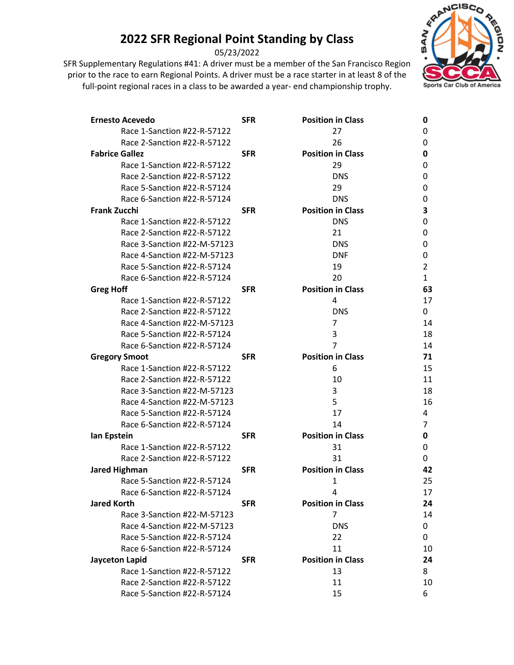05/23/2022



| <b>Ernesto Acevedo</b>      | <b>SFR</b> | <b>Position in Class</b> | 0              |
|-----------------------------|------------|--------------------------|----------------|
| Race 1-Sanction #22-R-57122 |            | 27                       | 0              |
| Race 2-Sanction #22-R-57122 |            | 26                       | 0              |
| <b>Fabrice Gallez</b>       | <b>SFR</b> | <b>Position in Class</b> | 0              |
| Race 1-Sanction #22-R-57122 |            | 29                       | 0              |
| Race 2-Sanction #22-R-57122 |            | <b>DNS</b>               | 0              |
| Race 5-Sanction #22-R-57124 |            | 29                       | 0              |
| Race 6-Sanction #22-R-57124 |            | <b>DNS</b>               | 0              |
| <b>Frank Zucchi</b>         | <b>SFR</b> | <b>Position in Class</b> | 3              |
| Race 1-Sanction #22-R-57122 |            | <b>DNS</b>               | 0              |
| Race 2-Sanction #22-R-57122 |            | 21                       | 0              |
| Race 3-Sanction #22-M-57123 |            | <b>DNS</b>               | 0              |
| Race 4-Sanction #22-M-57123 |            | <b>DNF</b>               | 0              |
| Race 5-Sanction #22-R-57124 |            | 19                       | $\overline{2}$ |
| Race 6-Sanction #22-R-57124 |            | 20                       | 1              |
| <b>Greg Hoff</b>            | <b>SFR</b> | <b>Position in Class</b> | 63             |
| Race 1-Sanction #22-R-57122 |            | 4                        | 17             |
| Race 2-Sanction #22-R-57122 |            | <b>DNS</b>               | 0              |
| Race 4-Sanction #22-M-57123 |            | 7                        | 14             |
| Race 5-Sanction #22-R-57124 |            | 3                        | 18             |
| Race 6-Sanction #22-R-57124 |            | $\overline{7}$           | 14             |
| <b>Gregory Smoot</b>        | <b>SFR</b> | <b>Position in Class</b> | 71             |
| Race 1-Sanction #22-R-57122 |            | 6                        | 15             |
| Race 2-Sanction #22-R-57122 |            | 10                       | 11             |
| Race 3-Sanction #22-M-57123 |            | 3                        | 18             |
| Race 4-Sanction #22-M-57123 |            | 5                        | 16             |
| Race 5-Sanction #22-R-57124 |            | 17                       | 4              |
| Race 6-Sanction #22-R-57124 |            | 14                       | 7              |
| lan Epstein                 | <b>SFR</b> | <b>Position in Class</b> | 0              |
| Race 1-Sanction #22-R-57122 |            | 31                       | 0              |
| Race 2-Sanction #22-R-57122 |            | 31                       | 0              |
| <b>Jared Highman</b>        | <b>SFR</b> | <b>Position in Class</b> | 42             |
| Race 5-Sanction #22-R-57124 |            | 1                        | 25             |
| Race 6-Sanction #22-R-57124 |            | Δ                        | 17             |
| <b>Jared Korth</b>          | <b>SFR</b> | <b>Position in Class</b> | 24             |
| Race 3-Sanction #22-M-57123 |            | 7                        | 14             |
| Race 4-Sanction #22-M-57123 |            | <b>DNS</b>               | 0              |
| Race 5-Sanction #22-R-57124 |            | 22                       | 0              |
| Race 6-Sanction #22-R-57124 |            | 11                       | 10             |
| <b>Jayceton Lapid</b>       | <b>SFR</b> | <b>Position in Class</b> | 24             |
| Race 1-Sanction #22-R-57122 |            | 13                       | 8              |
| Race 2-Sanction #22-R-57122 |            | 11                       | 10             |
| Race 5-Sanction #22-R-57124 |            | 15                       | 6              |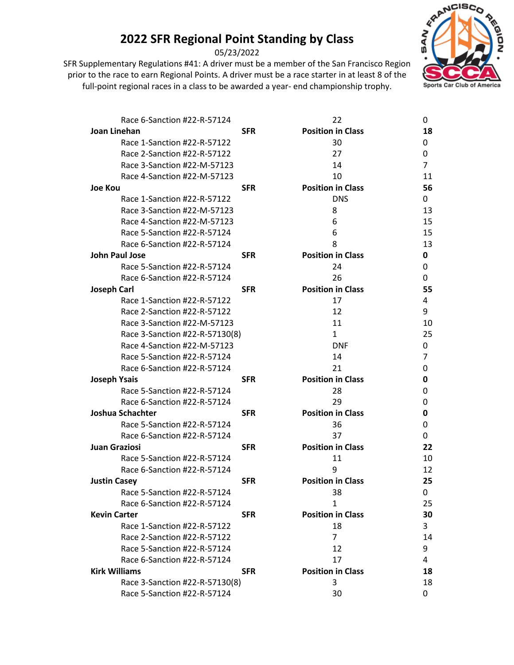05/23/2022



| Race 6-Sanction #22-R-57124    |            | 22                       | 0  |
|--------------------------------|------------|--------------------------|----|
| Joan Linehan                   | <b>SFR</b> | <b>Position in Class</b> | 18 |
| Race 1-Sanction #22-R-57122    |            | 30                       | 0  |
| Race 2-Sanction #22-R-57122    |            | 27                       | 0  |
| Race 3-Sanction #22-M-57123    |            | 14                       | 7  |
| Race 4-Sanction #22-M-57123    |            | 10                       | 11 |
| <b>Joe Kou</b>                 | <b>SFR</b> | <b>Position in Class</b> | 56 |
| Race 1-Sanction #22-R-57122    |            | <b>DNS</b>               | 0  |
| Race 3-Sanction #22-M-57123    |            | 8                        | 13 |
| Race 4-Sanction #22-M-57123    |            | 6                        | 15 |
| Race 5-Sanction #22-R-57124    |            | 6                        | 15 |
| Race 6-Sanction #22-R-57124    |            | 8                        | 13 |
| <b>John Paul Jose</b>          | <b>SFR</b> | <b>Position in Class</b> | 0  |
| Race 5-Sanction #22-R-57124    |            | 24                       | 0  |
| Race 6-Sanction #22-R-57124    |            | 26                       | 0  |
| <b>Joseph Carl</b>             | <b>SFR</b> | <b>Position in Class</b> | 55 |
| Race 1-Sanction #22-R-57122    |            | 17                       | 4  |
| Race 2-Sanction #22-R-57122    |            | 12                       | 9  |
| Race 3-Sanction #22-M-57123    |            | 11                       | 10 |
| Race 3-Sanction #22-R-57130(8) |            | $\mathbf{1}$             | 25 |
| Race 4-Sanction #22-M-57123    |            | <b>DNF</b>               | 0  |
| Race 5-Sanction #22-R-57124    |            | 14                       | 7  |
| Race 6-Sanction #22-R-57124    |            | 21                       | 0  |
| <b>Joseph Ysais</b>            | <b>SFR</b> | <b>Position in Class</b> | 0  |
| Race 5-Sanction #22-R-57124    |            | 28                       | O  |
| Race 6-Sanction #22-R-57124    |            | 29                       | 0  |
| Joshua Schachter               | <b>SFR</b> | <b>Position in Class</b> | 0  |
| Race 5-Sanction #22-R-57124    |            | 36                       | 0  |
| Race 6-Sanction #22-R-57124    |            | 37                       | 0  |
| <b>Juan Graziosi</b>           | <b>SFR</b> | <b>Position in Class</b> | 22 |
| Race 5-Sanction #22-R-57124    |            | 11                       | 10 |
| Race 6-Sanction #22-R-57124    |            | 9                        | 12 |
| <b>Justin Casey</b>            | <b>SFR</b> | <b>Position in Class</b> | 25 |
| Race 5-Sanction #22-R-57124    |            | 38                       | 0  |
| Race 6-Sanction #22-R-57124    |            | $\mathbf{1}$             | 25 |
| <b>Kevin Carter</b>            | <b>SFR</b> | <b>Position in Class</b> | 30 |
| Race 1-Sanction #22-R-57122    |            | 18                       | 3  |
| Race 2-Sanction #22-R-57122    |            | $\overline{7}$           | 14 |
| Race 5-Sanction #22-R-57124    |            | 12                       | 9  |
| Race 6-Sanction #22-R-57124    |            | 17                       | 4  |
| <b>Kirk Williams</b>           | <b>SFR</b> | <b>Position in Class</b> | 18 |
| Race 3-Sanction #22-R-57130(8) |            | 3                        | 18 |
| Race 5-Sanction #22-R-57124    |            | 30                       | 0  |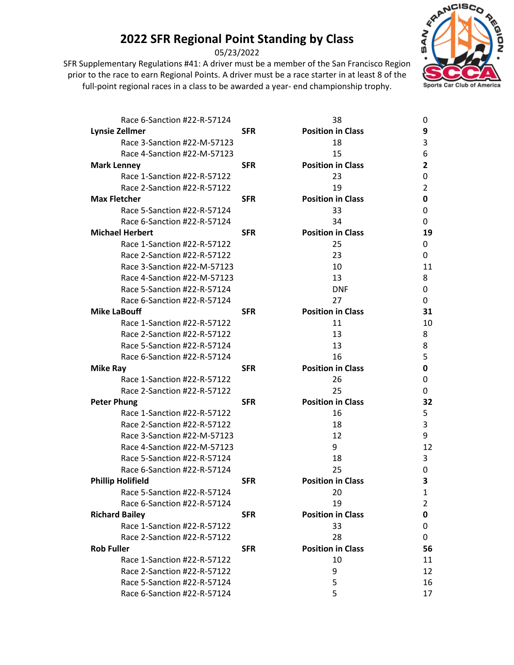05/23/2022



| Race 6-Sanction #22-R-57124 |            | 38                       | 0  |
|-----------------------------|------------|--------------------------|----|
| <b>Lynsie Zellmer</b>       | <b>SFR</b> | <b>Position in Class</b> | 9  |
| Race 3-Sanction #22-M-57123 |            | 18                       | 3  |
| Race 4-Sanction #22-M-57123 |            | 15                       | 6  |
| <b>Mark Lenney</b>          | <b>SFR</b> | <b>Position in Class</b> | 2  |
| Race 1-Sanction #22-R-57122 |            | 23                       | 0  |
| Race 2-Sanction #22-R-57122 |            | 19                       | 2  |
| <b>Max Fletcher</b>         | <b>SFR</b> | <b>Position in Class</b> | 0  |
| Race 5-Sanction #22-R-57124 |            | 33                       | 0  |
| Race 6-Sanction #22-R-57124 |            | 34                       | 0  |
| <b>Michael Herbert</b>      | <b>SFR</b> | <b>Position in Class</b> | 19 |
| Race 1-Sanction #22-R-57122 |            | 25                       | 0  |
| Race 2-Sanction #22-R-57122 |            | 23                       | 0  |
| Race 3-Sanction #22-M-57123 |            | 10                       | 11 |
| Race 4-Sanction #22-M-57123 |            | 13                       | 8  |
| Race 5-Sanction #22-R-57124 |            | <b>DNF</b>               | 0  |
| Race 6-Sanction #22-R-57124 |            | 27                       | 0  |
| <b>Mike LaBouff</b>         | <b>SFR</b> | <b>Position in Class</b> | 31 |
| Race 1-Sanction #22-R-57122 |            | 11                       | 10 |
| Race 2-Sanction #22-R-57122 |            | 13                       | 8  |
| Race 5-Sanction #22-R-57124 |            | 13                       | 8  |
| Race 6-Sanction #22-R-57124 |            | 16                       | 5  |
| <b>Mike Ray</b>             | <b>SFR</b> | <b>Position in Class</b> | 0  |
| Race 1-Sanction #22-R-57122 |            | 26                       | 0  |
| Race 2-Sanction #22-R-57122 |            | 25                       | 0  |
| <b>Peter Phung</b>          | <b>SFR</b> | <b>Position in Class</b> | 32 |
| Race 1-Sanction #22-R-57122 |            | 16                       | 5  |
| Race 2-Sanction #22-R-57122 |            | 18                       | 3  |
| Race 3-Sanction #22-M-57123 |            | 12                       | 9  |
| Race 4-Sanction #22-M-57123 |            | 9                        | 12 |
| Race 5-Sanction #22-R-57124 |            | 18                       | 3  |
| Race 6-Sanction #22-R-57124 |            | 25                       | 0  |
| <b>Phillip Holifield</b>    | <b>SFR</b> | <b>Position in Class</b> | 3  |
| Race 5-Sanction #22-R-57124 |            | 20                       | 1  |
| Race 6-Sanction #22-R-57124 |            | 19                       | 2  |
| <b>Richard Bailey</b>       | <b>SFR</b> | <b>Position in Class</b> | 0  |
| Race 1-Sanction #22-R-57122 |            | 33                       | 0  |
| Race 2-Sanction #22-R-57122 |            | 28                       | 0  |
| <b>Rob Fuller</b>           | <b>SFR</b> | <b>Position in Class</b> | 56 |
| Race 1-Sanction #22-R-57122 |            | 10                       | 11 |
| Race 2-Sanction #22-R-57122 |            | 9                        | 12 |
| Race 5-Sanction #22-R-57124 |            | 5                        | 16 |
| Race 6-Sanction #22-R-57124 |            | 5                        | 17 |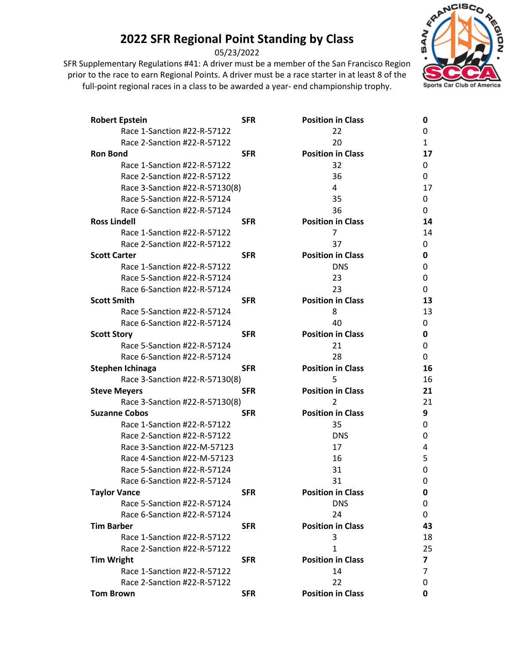05/23/2022

SFR Supplementary Regulations #41: A driver must be a member of the San Francisco Region prior to the race to earn Regional Points. A driver must be a race starter in at least 8 of the full-point regional races in a class to be awarded a year- end championship trophy.



| <b>Robert Epstein</b>          | <b>SFR</b> | <b>Position in Class</b> | 0  |
|--------------------------------|------------|--------------------------|----|
| Race 1-Sanction #22-R-57122    |            | 22                       | 0  |
| Race 2-Sanction #22-R-57122    |            | 20                       | 1  |
| <b>Ron Bond</b>                | <b>SFR</b> | <b>Position in Class</b> | 17 |
| Race 1-Sanction #22-R-57122    |            | 32                       | 0  |
| Race 2-Sanction #22-R-57122    |            | 36                       | 0  |
| Race 3-Sanction #22-R-57130(8) |            | 4                        | 17 |
| Race 5-Sanction #22-R-57124    |            | 35                       | 0  |
| Race 6-Sanction #22-R-57124    |            | 36                       | 0  |
| <b>Ross Lindell</b>            | <b>SFR</b> | <b>Position in Class</b> | 14 |
| Race 1-Sanction #22-R-57122    |            | 7                        | 14 |
| Race 2-Sanction #22-R-57122    |            | 37                       | 0  |
| <b>Scott Carter</b>            | <b>SFR</b> | <b>Position in Class</b> | 0  |
| Race 1-Sanction #22-R-57122    |            | <b>DNS</b>               | 0  |
| Race 5-Sanction #22-R-57124    |            | 23                       | 0  |
| Race 6-Sanction #22-R-57124    |            | 23                       | 0  |
| <b>Scott Smith</b>             | <b>SFR</b> | <b>Position in Class</b> | 13 |
| Race 5-Sanction #22-R-57124    |            | 8                        | 13 |
| Race 6-Sanction #22-R-57124    |            | 40                       | 0  |
| <b>Scott Story</b>             | <b>SFR</b> | <b>Position in Class</b> | 0  |
| Race 5-Sanction #22-R-57124    |            | 21                       | 0  |
| Race 6-Sanction #22-R-57124    |            | 28                       | 0  |
| Stephen Ichinaga               | <b>SFR</b> | <b>Position in Class</b> | 16 |
| Race 3-Sanction #22-R-57130(8) |            | 5                        | 16 |
| <b>Steve Meyers</b>            | <b>SFR</b> | <b>Position in Class</b> | 21 |
| Race 3-Sanction #22-R-57130(8) |            | 2                        | 21 |
| <b>Suzanne Cobos</b>           | <b>SFR</b> | <b>Position in Class</b> | 9  |
| Race 1-Sanction #22-R-57122    |            | 35                       | 0  |
| Race 2-Sanction #22-R-57122    |            | <b>DNS</b>               | 0  |
| Race 3-Sanction #22-M-57123    |            | 17                       | 4  |
| Race 4-Sanction #22-M-57123    |            | 16                       | 5  |
| Race 5-Sanction #22-R-57124    |            | 31                       | 0  |
| Race 6-Sanction #22-R-57124    |            | 31                       | 0  |
| <b>Taylor Vance</b>            | <b>SFR</b> | <b>Position in Class</b> | 0  |
| Race 5-Sanction #22-R-57124    |            | <b>DNS</b>               | 0  |
| Race 6-Sanction #22-R-57124    |            | 24                       | 0  |
| <b>Tim Barber</b>              | <b>SFR</b> | <b>Position in Class</b> | 43 |
| Race 1-Sanction #22-R-57122    |            | 3                        | 18 |
| Race 2-Sanction #22-R-57122    |            | 1                        | 25 |
| <b>Tim Wright</b>              | <b>SFR</b> | <b>Position in Class</b> | 7  |
| Race 1-Sanction #22-R-57122    |            | 14                       | 7  |
| Race 2-Sanction #22-R-57122    |            | 22                       | 0  |
| <b>Tom Brown</b>               | <b>SFR</b> | <b>Position in Class</b> | 0  |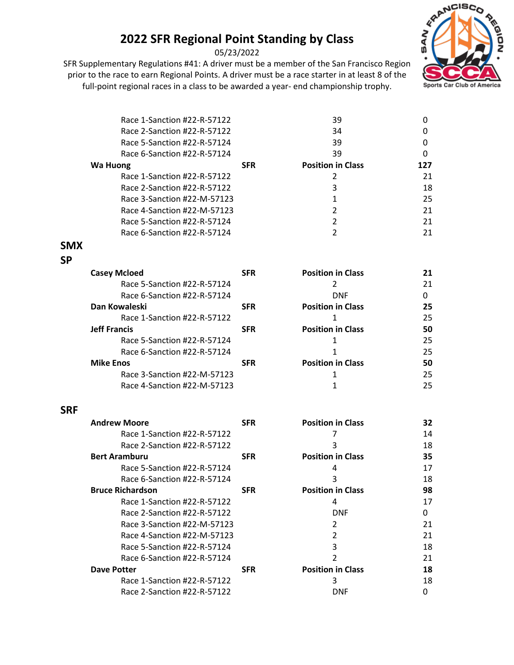05/23/2022



|            | Race 1-Sanction #22-R-57122 |            | 39                       | 0   |
|------------|-----------------------------|------------|--------------------------|-----|
|            | Race 2-Sanction #22-R-57122 |            | 34                       | 0   |
|            | Race 5-Sanction #22-R-57124 |            | 39                       | 0   |
|            | Race 6-Sanction #22-R-57124 |            | 39                       | 0   |
|            | <b>Wa Huong</b>             | <b>SFR</b> | <b>Position in Class</b> | 127 |
|            | Race 1-Sanction #22-R-57122 |            | 2                        | 21  |
|            | Race 2-Sanction #22-R-57122 |            | 3                        | 18  |
|            | Race 3-Sanction #22-M-57123 |            | $\mathbf{1}$             | 25  |
|            | Race 4-Sanction #22-M-57123 |            | $\overline{2}$           | 21  |
|            | Race 5-Sanction #22-R-57124 |            | 2                        | 21  |
|            | Race 6-Sanction #22-R-57124 |            | $\overline{2}$           | 21  |
| <b>SMX</b> |                             |            |                          |     |
| <b>SP</b>  |                             |            |                          |     |
|            | <b>Casey Mcloed</b>         | <b>SFR</b> | <b>Position in Class</b> | 21  |
|            | Race 5-Sanction #22-R-57124 |            | $\overline{2}$           | 21  |
|            | Race 6-Sanction #22-R-57124 |            | <b>DNF</b>               | 0   |
|            | Dan Kowaleski               | <b>SFR</b> | <b>Position in Class</b> | 25  |
|            | Race 1-Sanction #22-R-57122 |            | 1                        | 25  |
|            | <b>Jeff Francis</b>         | <b>SFR</b> | <b>Position in Class</b> | 50  |
|            | Race 5-Sanction #22-R-57124 |            | $\mathbf{1}$             | 25  |
|            | Race 6-Sanction #22-R-57124 |            | 1                        | 25  |
|            | <b>Mike Enos</b>            | <b>SFR</b> | <b>Position in Class</b> | 50  |
|            | Race 3-Sanction #22-M-57123 |            | 1                        | 25  |
|            | Race 4-Sanction #22-M-57123 |            | $\mathbf{1}$             | 25  |
| <b>SRF</b> |                             |            |                          |     |
|            | <b>Andrew Moore</b>         | <b>SFR</b> | <b>Position in Class</b> | 32  |
|            | Race 1-Sanction #22-R-57122 |            | 7                        | 14  |
|            | Race 2-Sanction #22-R-57122 |            | 3                        | 18  |
|            | <b>Bert Aramburu</b>        | <b>SFR</b> | <b>Position in Class</b> | 35  |
|            | Race 5-Sanction #22-R-57124 |            | 4                        | 17  |
|            | Race 6-Sanction #22-R-57124 |            | 3                        | 18  |
|            | <b>Bruce Richardson</b>     | <b>SFR</b> | <b>Position in Class</b> | 98  |
|            | Race 1-Sanction #22-R-57122 |            | 4                        | 17  |
|            | Race 2-Sanction #22-R-57122 |            | <b>DNF</b>               | 0   |
|            | Race 3-Sanction #22-M-57123 |            | 2                        | 21  |
|            | Race 4-Sanction #22-M-57123 |            | 2                        | 21  |
|            | Race 5-Sanction #22-R-57124 |            | 3                        | 18  |
|            | Race 6-Sanction #22-R-57124 |            | $\overline{2}$           | 21  |
|            | <b>Dave Potter</b>          | <b>SFR</b> | <b>Position in Class</b> | 18  |
|            | Race 1-Sanction #22-R-57122 |            | 3                        | 18  |
|            | Race 2-Sanction #22-R-57122 |            | <b>DNF</b>               | 0   |
|            |                             |            |                          |     |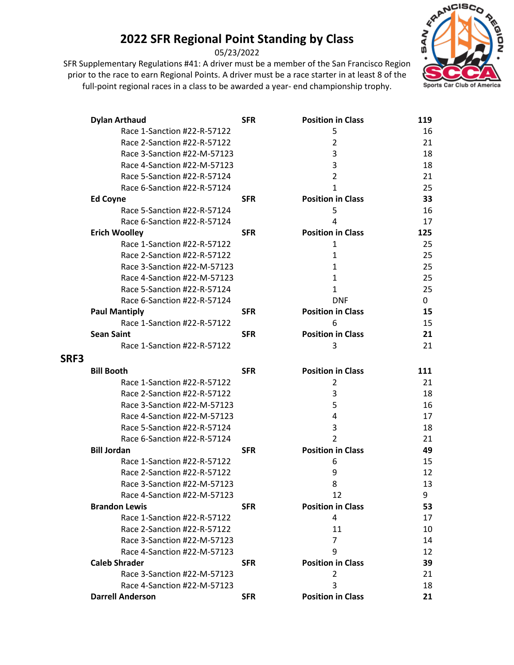05/23/2022



|      | <b>Dylan Arthaud</b>        | <b>SFR</b> | <b>Position in Class</b> | 119 |
|------|-----------------------------|------------|--------------------------|-----|
|      | Race 1-Sanction #22-R-57122 |            | 5                        | 16  |
|      | Race 2-Sanction #22-R-57122 |            | $\overline{2}$           | 21  |
|      | Race 3-Sanction #22-M-57123 |            | 3                        | 18  |
|      | Race 4-Sanction #22-M-57123 |            | 3                        | 18  |
|      | Race 5-Sanction #22-R-57124 |            | 2                        | 21  |
|      | Race 6-Sanction #22-R-57124 |            | 1                        | 25  |
|      | <b>Ed Coyne</b>             | <b>SFR</b> | <b>Position in Class</b> | 33  |
|      | Race 5-Sanction #22-R-57124 |            | 5                        | 16  |
|      | Race 6-Sanction #22-R-57124 |            | 4                        | 17  |
|      | <b>Erich Woolley</b>        | <b>SFR</b> | <b>Position in Class</b> | 125 |
|      | Race 1-Sanction #22-R-57122 |            | 1                        | 25  |
|      | Race 2-Sanction #22-R-57122 |            | 1                        | 25  |
|      | Race 3-Sanction #22-M-57123 |            | 1                        | 25  |
|      | Race 4-Sanction #22-M-57123 |            | 1                        | 25  |
|      | Race 5-Sanction #22-R-57124 |            | 1                        | 25  |
|      | Race 6-Sanction #22-R-57124 |            | <b>DNF</b>               | 0   |
|      | <b>Paul Mantiply</b>        | <b>SFR</b> | <b>Position in Class</b> | 15  |
|      | Race 1-Sanction #22-R-57122 |            | 6                        | 15  |
|      | <b>Sean Saint</b>           | <b>SFR</b> | <b>Position in Class</b> | 21  |
|      | Race 1-Sanction #22-R-57122 |            | 3                        | 21  |
| SRF3 |                             |            |                          |     |
|      | <b>Bill Booth</b>           | <b>SFR</b> | <b>Position in Class</b> | 111 |
|      | Race 1-Sanction #22-R-57122 |            | 2                        | 21  |
|      | Race 2-Sanction #22-R-57122 |            | 3                        | 18  |
|      | Race 3-Sanction #22-M-57123 |            | 5                        | 16  |
|      | Race 4-Sanction #22-M-57123 |            | 4                        | 17  |
|      | Race 5-Sanction #22-R-57124 |            | 3                        | 18  |
|      | Race 6-Sanction #22-R-57124 |            | $\overline{2}$           | 21  |
|      | <b>Bill Jordan</b>          | <b>SFR</b> | <b>Position in Class</b> | 49  |
|      | Race 1-Sanction #22-R-57122 |            | 6                        | 15  |
|      | Race 2-Sanction #22-R-57122 |            | 9                        | 12  |
|      | Race 3-Sanction #22-M-57123 |            | 8                        | 13  |
|      | Race 4-Sanction #22-M-57123 |            | 12                       | 9   |
|      | <b>Brandon Lewis</b>        | <b>SFR</b> | <b>Position in Class</b> | 53  |
|      | Race 1-Sanction #22-R-57122 |            | 4                        | 17  |
|      | Race 2-Sanction #22-R-57122 |            | 11                       | 10  |
|      | Race 3-Sanction #22-M-57123 |            | $\overline{7}$           | 14  |
|      | Race 4-Sanction #22-M-57123 |            | 9                        | 12  |
|      | <b>Caleb Shrader</b>        | <b>SFR</b> | <b>Position in Class</b> | 39  |
|      | Race 3-Sanction #22-M-57123 |            | 2                        | 21  |
|      | Race 4-Sanction #22-M-57123 |            | 3                        | 18  |
|      | <b>Darrell Anderson</b>     | <b>SFR</b> | <b>Position in Class</b> | 21  |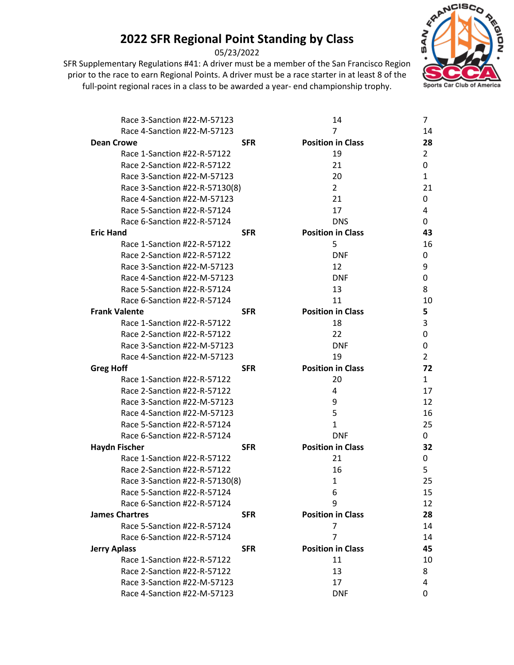05/23/2022



| Race 3-Sanction #22-M-57123    |            | 14                       | 7              |
|--------------------------------|------------|--------------------------|----------------|
| Race 4-Sanction #22-M-57123    |            | 7                        | 14             |
| <b>Dean Crowe</b>              | <b>SFR</b> | <b>Position in Class</b> | 28             |
| Race 1-Sanction #22-R-57122    |            | 19                       | $\overline{2}$ |
| Race 2-Sanction #22-R-57122    |            | 21                       | 0              |
| Race 3-Sanction #22-M-57123    |            | 20                       | 1              |
| Race 3-Sanction #22-R-57130(8) |            | $\overline{2}$           | 21             |
| Race 4-Sanction #22-M-57123    |            | 21                       | 0              |
| Race 5-Sanction #22-R-57124    |            | 17                       | 4              |
| Race 6-Sanction #22-R-57124    |            | <b>DNS</b>               | 0              |
| <b>Eric Hand</b>               | <b>SFR</b> | <b>Position in Class</b> | 43             |
| Race 1-Sanction #22-R-57122    |            | 5                        | 16             |
| Race 2-Sanction #22-R-57122    |            | <b>DNF</b>               | 0              |
| Race 3-Sanction #22-M-57123    |            | 12                       | 9              |
| Race 4-Sanction #22-M-57123    |            | <b>DNF</b>               | 0              |
| Race 5-Sanction #22-R-57124    |            | 13                       | 8              |
| Race 6-Sanction #22-R-57124    |            | 11                       | 10             |
| <b>Frank Valente</b>           | <b>SFR</b> | <b>Position in Class</b> | 5              |
| Race 1-Sanction #22-R-57122    |            | 18                       | 3              |
| Race 2-Sanction #22-R-57122    |            | 22                       | 0              |
| Race 3-Sanction #22-M-57123    |            | <b>DNF</b>               | 0              |
| Race 4-Sanction #22-M-57123    |            | 19                       | 2              |
| <b>Greg Hoff</b>               | <b>SFR</b> | <b>Position in Class</b> | 72             |
| Race 1-Sanction #22-R-57122    |            | 20                       | 1              |
| Race 2-Sanction #22-R-57122    |            | 4                        | 17             |
| Race 3-Sanction #22-M-57123    |            | 9                        | 12             |
| Race 4-Sanction #22-M-57123    |            | 5                        | 16             |
| Race 5-Sanction #22-R-57124    |            | 1                        | 25             |
| Race 6-Sanction #22-R-57124    |            | <b>DNF</b>               | 0              |
| <b>Haydn Fischer</b>           | <b>SFR</b> | <b>Position in Class</b> | 32             |
| Race 1-Sanction #22-R-57122    |            | 21                       | 0              |
| Race 2-Sanction #22-R-57122    |            | 16                       | 5              |
| Race 3-Sanction #22-R-57130(8) |            | 1                        | 25             |
| Race 5-Sanction #22-R-57124    |            | 6                        | 15             |
| Race 6-Sanction #22-R-57124    |            | 9                        | 12             |
| <b>James Chartres</b>          | <b>SFR</b> | <b>Position in Class</b> | 28             |
| Race 5-Sanction #22-R-57124    |            | 7                        | 14             |
| Race 6-Sanction #22-R-57124    |            | 7                        | 14             |
| <b>Jerry Aplass</b>            | <b>SFR</b> | <b>Position in Class</b> | 45             |
| Race 1-Sanction #22-R-57122    |            | 11                       | 10             |
| Race 2-Sanction #22-R-57122    |            | 13                       | 8              |
| Race 3-Sanction #22-M-57123    |            | 17                       | 4              |
| Race 4-Sanction #22-M-57123    |            | <b>DNF</b>               | 0              |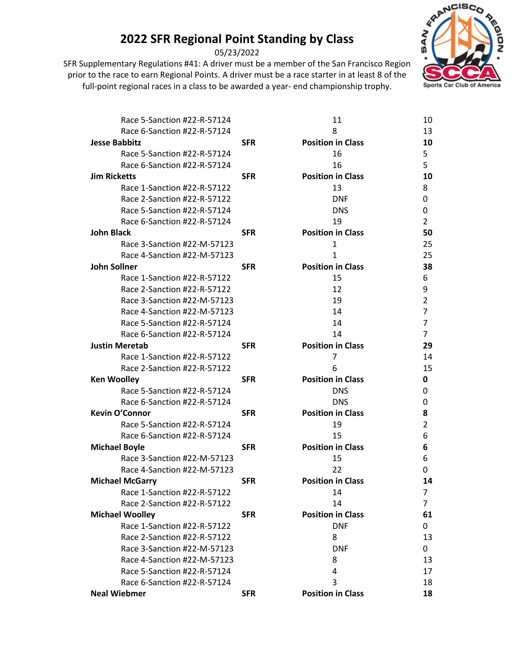05/23/2022



| Race 5-Sanction #22-R-57124 |            | 11                       | 10             |
|-----------------------------|------------|--------------------------|----------------|
| Race 6-Sanction #22-R-57124 |            | 8                        | 13             |
| <b>Jesse Babbitz</b>        | <b>SFR</b> | <b>Position in Class</b> | 10             |
| Race 5-Sanction #22-R-57124 |            | 16                       | 5              |
| Race 6-Sanction #22-R-57124 |            | 16                       | 5              |
| <b>Jim Ricketts</b>         | <b>SFR</b> | <b>Position in Class</b> | 10             |
| Race 1-Sanction #22-R-57122 |            | 13                       | 8              |
| Race 2-Sanction #22-R-57122 |            | <b>DNF</b>               | 0              |
| Race 5-Sanction #22-R-57124 |            | <b>DNS</b>               | 0              |
| Race 6-Sanction #22-R-57124 |            | 19                       | 2              |
| <b>John Black</b>           | <b>SFR</b> | <b>Position in Class</b> | 50             |
| Race 3-Sanction #22-M-57123 |            | $\mathbf{1}$             | 25             |
| Race 4-Sanction #22-M-57123 |            | 1                        | 25             |
| <b>John Sollner</b>         | <b>SFR</b> | <b>Position in Class</b> | 38             |
| Race 1-Sanction #22-R-57122 |            | 15                       | 6              |
| Race 2-Sanction #22-R-57122 |            | 12                       | 9              |
| Race 3-Sanction #22-M-57123 |            | 19                       | 2              |
| Race 4-Sanction #22-M-57123 |            | 14                       | 7              |
| Race 5-Sanction #22-R-57124 |            | 14                       | 7              |
| Race 6-Sanction #22-R-57124 |            | 14                       | 7              |
| <b>Justin Meretab</b>       | <b>SFR</b> | <b>Position in Class</b> | 29             |
| Race 1-Sanction #22-R-57122 |            | 7                        | 14             |
| Race 2-Sanction #22-R-57122 |            | 6                        | 15             |
| <b>Ken Woolley</b>          | <b>SFR</b> | <b>Position in Class</b> | 0              |
| Race 5-Sanction #22-R-57124 |            | <b>DNS</b>               | 0              |
| Race 6-Sanction #22-R-57124 |            | <b>DNS</b>               | 0              |
| <b>Kevin O'Connor</b>       | <b>SFR</b> | <b>Position in Class</b> | 8              |
| Race 5-Sanction #22-R-57124 |            | 19                       | 2              |
| Race 6-Sanction #22-R-57124 |            | 15                       | 6              |
| <b>Michael Boyle</b>        | <b>SFR</b> | <b>Position in Class</b> | 6              |
| Race 3-Sanction #22-M-57123 |            | 15                       | 6              |
| Race 4-Sanction #22-M-57123 |            | 22                       | 0              |
| <b>Michael McGarry</b>      | <b>SFR</b> | <b>Position in Class</b> | 14             |
| Race 1-Sanction #22-R-57122 |            | 14                       | $\overline{7}$ |
| Race 2-Sanction #22-R-57122 |            | 14                       | 7              |
| <b>Michael Woolley</b>      | <b>SFR</b> | <b>Position in Class</b> | 61             |
| Race 1-Sanction #22-R-57122 |            | <b>DNF</b>               | 0              |
| Race 2-Sanction #22-R-57122 |            | 8                        | 13             |
| Race 3-Sanction #22-M-57123 |            | <b>DNF</b>               | 0              |
| Race 4-Sanction #22-M-57123 |            | 8                        | 13             |
| Race 5-Sanction #22-R-57124 |            | 4                        | 17             |
| Race 6-Sanction #22-R-57124 |            | 3                        | 18             |
| <b>Neal Wiebmer</b>         | <b>SFR</b> | <b>Position in Class</b> | 18             |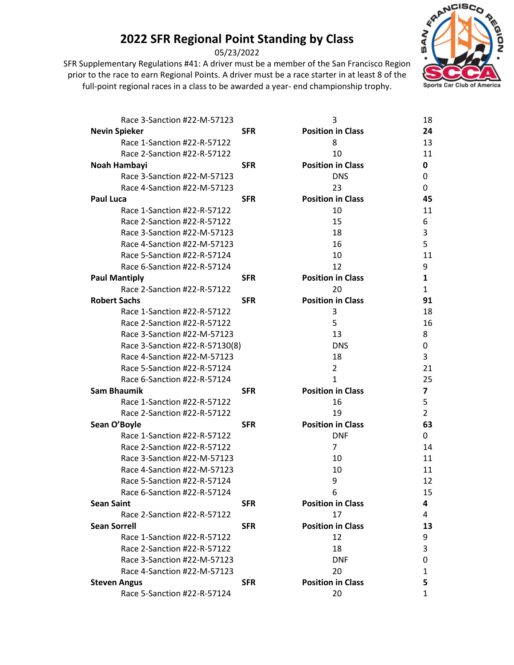05/23/2022



| Race 3-Sanction #22-M-57123    |            | 3                        | 18 |
|--------------------------------|------------|--------------------------|----|
| <b>Nevin Spieker</b>           | <b>SFR</b> | <b>Position in Class</b> | 24 |
| Race 1-Sanction #22-R-57122    |            | 8                        | 13 |
| Race 2-Sanction #22-R-57122    |            | 10                       | 11 |
| Noah Hambayi                   | <b>SFR</b> | <b>Position in Class</b> | 0  |
| Race 3-Sanction #22-M-57123    |            | <b>DNS</b>               | 0  |
| Race 4-Sanction #22-M-57123    |            | 23                       | 0  |
| <b>Paul Luca</b>               | <b>SFR</b> | <b>Position in Class</b> | 45 |
| Race 1-Sanction #22-R-57122    |            | 10                       | 11 |
| Race 2-Sanction #22-R-57122    |            | 15                       | 6  |
| Race 3-Sanction #22-M-57123    |            | 18                       | 3  |
| Race 4-Sanction #22-M-57123    |            | 16                       | 5  |
| Race 5-Sanction #22-R-57124    |            | 10                       | 11 |
| Race 6-Sanction #22-R-57124    |            | 12                       | 9  |
| <b>Paul Mantiply</b>           | <b>SFR</b> | <b>Position in Class</b> | 1  |
| Race 2-Sanction #22-R-57122    |            | 20                       | 1  |
| <b>Robert Sachs</b>            | <b>SFR</b> | <b>Position in Class</b> | 91 |
| Race 1-Sanction #22-R-57122    |            | 3                        | 18 |
| Race 2-Sanction #22-R-57122    |            | 5                        | 16 |
| Race 3-Sanction #22-M-57123    |            | 13                       | 8  |
| Race 3-Sanction #22-R-57130(8) |            | <b>DNS</b>               | 0  |
| Race 4-Sanction #22-M-57123    |            | 18                       | 3  |
| Race 5-Sanction #22-R-57124    |            | $\overline{2}$           | 21 |
| Race 6-Sanction #22-R-57124    |            | $\mathbf{1}$             | 25 |
| <b>Sam Bhaumik</b>             | <b>SFR</b> | <b>Position in Class</b> | 7  |
| Race 1-Sanction #22-R-57122    |            | 16                       | 5  |
| Race 2-Sanction #22-R-57122    |            | 19                       | 2  |
| Sean O'Boyle                   | <b>SFR</b> | <b>Position in Class</b> | 63 |
| Race 1-Sanction #22-R-57122    |            | <b>DNF</b>               | 0  |
| Race 2-Sanction #22-R-57122    |            | $\overline{7}$           | 14 |
| Race 3-Sanction #22-M-57123    |            | 10                       | 11 |
| Race 4-Sanction #22-M-57123    |            | 10                       | 11 |
| Race 5-Sanction #22-R-57124    |            | 9                        | 12 |
| Race 6-Sanction #22-R-57124    |            | 6                        | 15 |
| <b>Sean Saint</b>              | <b>SFR</b> | <b>Position in Class</b> | 4  |
| Race 2-Sanction #22-R-57122    |            | 17                       | 4  |
| <b>Sean Sorrell</b>            | <b>SFR</b> | <b>Position in Class</b> | 13 |
| Race 1-Sanction #22-R-57122    |            | 12                       | 9  |
| Race 2-Sanction #22-R-57122    |            | 18                       | 3  |
| Race 3-Sanction #22-M-57123    |            | <b>DNF</b>               | 0  |
| Race 4-Sanction #22-M-57123    |            | 20                       | 1  |
| <b>Steven Angus</b>            | <b>SFR</b> | <b>Position in Class</b> | 5  |
| Race 5-Sanction #22-R-57124    |            | 20                       | 1  |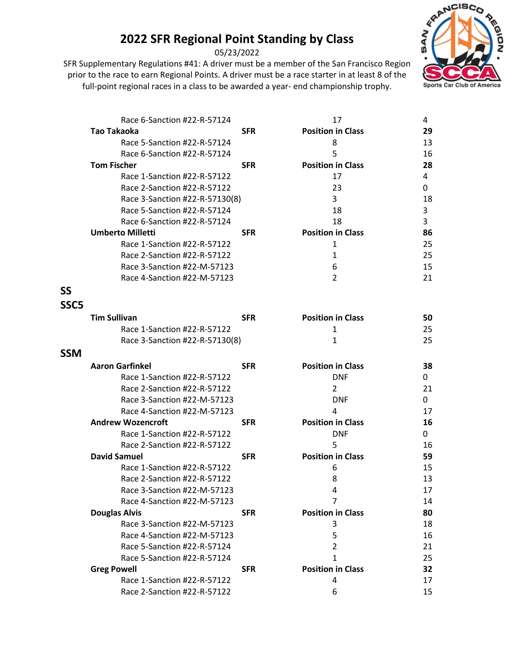05/23/2022



|                  | Race 6-Sanction #22-R-57124                                |            | 17                       | 4        |
|------------------|------------------------------------------------------------|------------|--------------------------|----------|
|                  | Tao Takaoka                                                | <b>SFR</b> | <b>Position in Class</b> | 29       |
|                  | Race 5-Sanction #22-R-57124                                |            | 8                        | 13       |
|                  | Race 6-Sanction #22-R-57124                                |            | 5                        | 16       |
|                  | <b>Tom Fischer</b>                                         | <b>SFR</b> | <b>Position in Class</b> | 28       |
|                  | Race 1-Sanction #22-R-57122                                |            | 17                       | 4        |
|                  | Race 2-Sanction #22-R-57122                                |            | 23                       | 0        |
|                  | Race 3-Sanction #22-R-57130(8)                             |            | 3                        | 18       |
|                  | Race 5-Sanction #22-R-57124                                |            | 18                       | 3        |
|                  | Race 6-Sanction #22-R-57124                                |            | 18                       | 3        |
|                  | <b>Umberto Milletti</b>                                    | <b>SFR</b> | <b>Position in Class</b> | 86       |
|                  | Race 1-Sanction #22-R-57122                                |            | 1                        | 25       |
|                  | Race 2-Sanction #22-R-57122                                |            | 1                        | 25       |
|                  | Race 3-Sanction #22-M-57123                                |            | 6                        | 15       |
|                  | Race 4-Sanction #22-M-57123                                |            | $\overline{2}$           | 21       |
| <b>SS</b>        |                                                            |            |                          |          |
| SSC <sub>5</sub> |                                                            |            |                          |          |
|                  | <b>Tim Sullivan</b>                                        | <b>SFR</b> | <b>Position in Class</b> | 50       |
|                  | Race 1-Sanction #22-R-57122                                |            | 1                        | 25       |
|                  | Race 3-Sanction #22-R-57130(8)                             |            | 1                        | 25       |
| <b>SSM</b>       |                                                            |            |                          |          |
|                  | <b>Aaron Garfinkel</b>                                     | <b>SFR</b> | <b>Position in Class</b> | 38       |
|                  | Race 1-Sanction #22-R-57122                                |            | <b>DNF</b>               | 0        |
|                  | Race 2-Sanction #22-R-57122                                |            | 2                        | 21       |
|                  | Race 3-Sanction #22-M-57123                                |            | <b>DNF</b>               | 0        |
|                  | Race 4-Sanction #22-M-57123                                |            | 4                        | 17       |
|                  | <b>Andrew Wozencroft</b>                                   | <b>SFR</b> | <b>Position in Class</b> | 16       |
|                  | Race 1-Sanction #22-R-57122                                |            | <b>DNF</b>               | 0        |
|                  | Race 2-Sanction #22-R-57122                                |            | 5                        | 16       |
|                  | <b>David Samuel</b>                                        | <b>SFR</b> | <b>Position in Class</b> | 59       |
|                  | Race 1-Sanction #22-R-57122                                |            | 6                        | 15       |
|                  | Race 2-Sanction #22-R-57122                                |            | 8                        | 13       |
|                  |                                                            |            |                          |          |
|                  | Race 3-Sanction #22-M-57123                                |            | 4                        | 17       |
|                  | Race 4-Sanction #22-M-57123                                |            | 7                        | 14       |
|                  | <b>Douglas Alvis</b>                                       | <b>SFR</b> | <b>Position in Class</b> | 80       |
|                  | Race 3-Sanction #22-M-57123                                |            | 3                        | 18       |
|                  | Race 4-Sanction #22-M-57123                                |            | 5                        | 16       |
|                  | Race 5-Sanction #22-R-57124                                |            | $\overline{2}$           | 21       |
|                  | Race 5-Sanction #22-R-57124                                |            | $\mathbf{1}$             | 25       |
|                  | <b>Greg Powell</b>                                         | <b>SFR</b> | <b>Position in Class</b> | 32       |
|                  | Race 1-Sanction #22-R-57122<br>Race 2-Sanction #22-R-57122 |            | 4<br>6                   | 17<br>15 |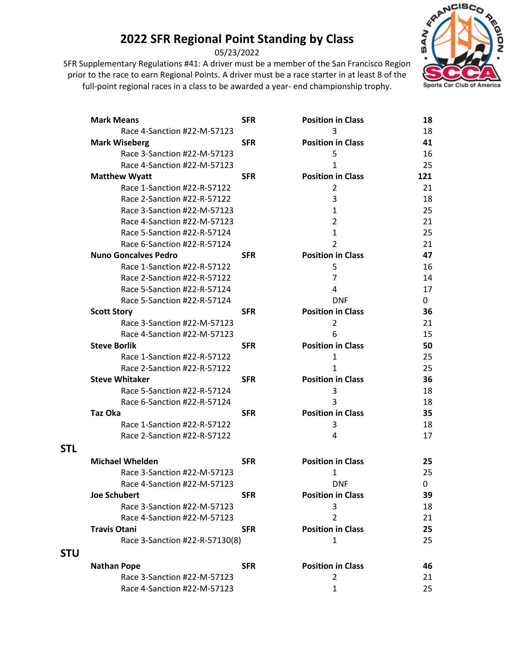05/23/2022



|            | <b>Mark Means</b>              | <b>SFR</b> | <b>Position in Class</b> | 18  |
|------------|--------------------------------|------------|--------------------------|-----|
|            | Race 4-Sanction #22-M-57123    |            | 3                        | 18  |
|            | <b>Mark Wiseberg</b>           | <b>SFR</b> | <b>Position in Class</b> | 41  |
|            | Race 3-Sanction #22-M-57123    |            | 5                        | 16  |
|            | Race 4-Sanction #22-M-57123    |            | 1                        | 25  |
|            | <b>Matthew Wyatt</b>           | <b>SFR</b> | <b>Position in Class</b> | 121 |
|            | Race 1-Sanction #22-R-57122    |            | 2                        | 21  |
|            | Race 2-Sanction #22-R-57122    |            | 3                        | 18  |
|            | Race 3-Sanction #22-M-57123    |            | $\mathbf{1}$             | 25  |
|            | Race 4-Sanction #22-M-57123    |            | $\overline{2}$           | 21  |
|            | Race 5-Sanction #22-R-57124    |            | 1                        | 25  |
|            | Race 6-Sanction #22-R-57124    |            | $\overline{2}$           | 21  |
|            | <b>Nuno Goncalves Pedro</b>    | <b>SFR</b> | <b>Position in Class</b> | 47  |
|            | Race 1-Sanction #22-R-57122    |            | 5                        | 16  |
|            | Race 2-Sanction #22-R-57122    |            | $\overline{7}$           | 14  |
|            | Race 5-Sanction #22-R-57124    |            | 4                        | 17  |
|            | Race 5-Sanction #22-R-57124    |            | <b>DNF</b>               | 0   |
|            | <b>Scott Story</b>             | <b>SFR</b> | <b>Position in Class</b> | 36  |
|            | Race 3-Sanction #22-M-57123    |            | $\overline{2}$           | 21  |
|            | Race 4-Sanction #22-M-57123    |            | 6                        | 15  |
|            | <b>Steve Borlik</b>            | <b>SFR</b> | <b>Position in Class</b> | 50  |
|            | Race 1-Sanction #22-R-57122    |            | 1                        | 25  |
|            | Race 2-Sanction #22-R-57122    |            | 1                        | 25  |
|            | <b>Steve Whitaker</b>          | <b>SFR</b> | <b>Position in Class</b> | 36  |
|            | Race 5-Sanction #22-R-57124    |            | 3                        | 18  |
|            | Race 6-Sanction #22-R-57124    |            | 3                        | 18  |
|            | Taz Oka                        | <b>SFR</b> | <b>Position in Class</b> | 35  |
|            | Race 1-Sanction #22-R-57122    |            | 3                        | 18  |
|            | Race 2-Sanction #22-R-57122    |            | 4                        | 17  |
| <b>STL</b> |                                |            |                          |     |
|            | <b>Michael Whelden</b>         | <b>SFR</b> | <b>Position in Class</b> | 25  |
|            | Race 3-Sanction #22-M-57123    |            | 1                        | 25  |
|            | Race 4-Sanction #22-M-57123    |            | <b>DNF</b>               | 0   |
|            | <b>Joe Schubert</b>            | <b>SFR</b> | <b>Position in Class</b> | 39  |
|            | Race 3-Sanction #22-M-57123    |            | 3                        | 18  |
|            | Race 4-Sanction #22-M-57123    |            | $\overline{2}$           | 21  |
|            | <b>Travis Otani</b>            | <b>SFR</b> | <b>Position in Class</b> | 25  |
|            | Race 3-Sanction #22-R-57130(8) |            | 1                        | 25  |
| <b>STU</b> |                                |            |                          |     |
|            | <b>Nathan Pope</b>             | <b>SFR</b> | <b>Position in Class</b> | 46  |
|            | Race 3-Sanction #22-M-57123    |            | 2                        | 21  |
|            | Race 4-Sanction #22-M-57123    |            | 1                        | 25  |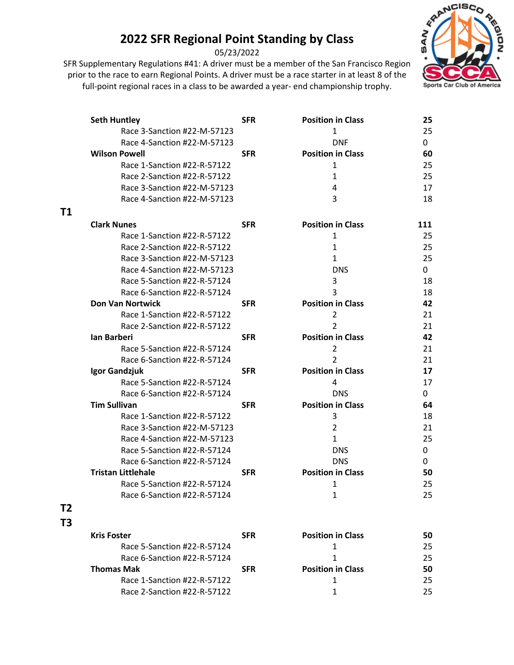05/23/2022

SFR Supplementary Regulations #41: A driver must be a member of the San Francisco Region prior to the race to earn Regional Points. A driver must be a race starter in at least 8 of the full-point regional races in a class to be awarded a year- end championship trophy.



|                | <b>Seth Huntley</b>         | <b>SFR</b> | <b>Position in Class</b> | 25  |
|----------------|-----------------------------|------------|--------------------------|-----|
|                | Race 3-Sanction #22-M-57123 |            | 1                        | 25  |
|                | Race 4-Sanction #22-M-57123 |            | <b>DNF</b>               | 0   |
|                | <b>Wilson Powell</b>        | <b>SFR</b> | <b>Position in Class</b> | 60  |
|                | Race 1-Sanction #22-R-57122 |            | 1                        | 25  |
|                | Race 2-Sanction #22-R-57122 |            | 1                        | 25  |
|                | Race 3-Sanction #22-M-57123 |            | 4                        | 17  |
|                | Race 4-Sanction #22-M-57123 |            | 3                        | 18  |
| T1             |                             |            |                          |     |
|                | <b>Clark Nunes</b>          | <b>SFR</b> | <b>Position in Class</b> | 111 |
|                | Race 1-Sanction #22-R-57122 |            | 1                        | 25  |
|                | Race 2-Sanction #22-R-57122 |            | $\mathbf{1}$             | 25  |
|                | Race 3-Sanction #22-M-57123 |            | 1                        | 25  |
|                | Race 4-Sanction #22-M-57123 |            | <b>DNS</b>               | 0   |
|                | Race 5-Sanction #22-R-57124 |            | 3                        | 18  |
|                | Race 6-Sanction #22-R-57124 |            | 3                        | 18  |
|                | <b>Don Van Nortwick</b>     | <b>SFR</b> | <b>Position in Class</b> | 42  |
|                | Race 1-Sanction #22-R-57122 |            | $\overline{2}$           | 21  |
|                | Race 2-Sanction #22-R-57122 |            | $\overline{2}$           | 21  |
|                | Ian Barberi                 | <b>SFR</b> | <b>Position in Class</b> | 42  |
|                | Race 5-Sanction #22-R-57124 |            | 2                        | 21  |
|                | Race 6-Sanction #22-R-57124 |            | $\overline{2}$           | 21  |
|                | Igor Gandzjuk               | <b>SFR</b> | <b>Position in Class</b> | 17  |
|                | Race 5-Sanction #22-R-57124 |            | 4                        | 17  |
|                | Race 6-Sanction #22-R-57124 |            | <b>DNS</b>               | 0   |
|                | <b>Tim Sullivan</b>         | <b>SFR</b> | <b>Position in Class</b> | 64  |
|                | Race 1-Sanction #22-R-57122 |            | 3                        | 18  |
|                | Race 3-Sanction #22-M-57123 |            | $\overline{2}$           | 21  |
|                | Race 4-Sanction #22-M-57123 |            | $\mathbf{1}$             | 25  |
|                | Race 5-Sanction #22-R-57124 |            | <b>DNS</b>               | 0   |
|                | Race 6-Sanction #22-R-57124 |            | <b>DNS</b>               | 0   |
|                | <b>Tristan Littlehale</b>   | <b>SFR</b> | <b>Position in Class</b> | 50  |
|                | Race 5-Sanction #22-R-57124 |            | $\mathbf{1}$             | 25  |
|                | Race 6-Sanction #22-R-57124 |            | 1                        | 25  |
| T <sub>2</sub> |                             |            |                          |     |
| T <sub>3</sub> |                             |            |                          |     |
|                | <b>Kris Foster</b>          | <b>SFR</b> | <b>Position in Class</b> | 50  |
|                | Race 5-Sanction #22-R-57124 |            | 1                        | 25  |
|                | Race 6-Sanction #22-R-57124 |            | 1                        | 25  |
|                | <b>Thomas Mak</b>           | <b>SFR</b> | <b>Position in Class</b> | 50  |
|                | Race 1-Sanction #22-R-57122 |            | 1                        | 25  |
|                | Race 2-Sanction #22-R-57122 |            | 1                        | 25  |
|                |                             |            |                          |     |